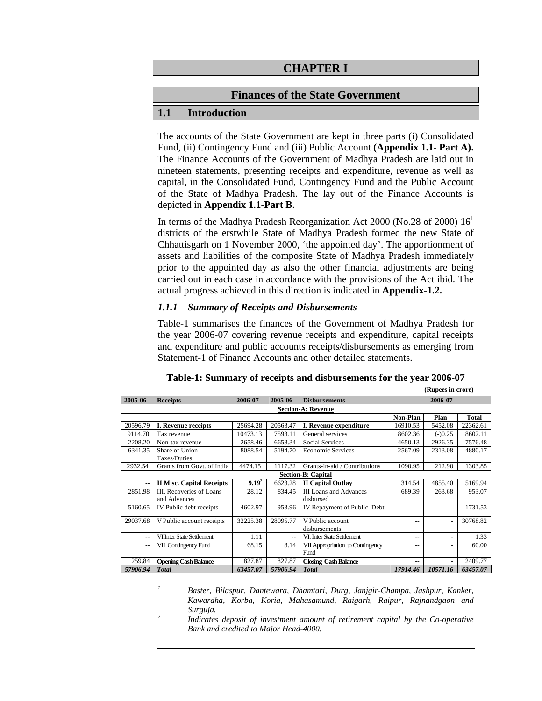## **Finances of the State Government**

#### **1.1 Introduction**

*1*

The accounts of the State Government are kept in three parts (i) Consolidated Fund, (ii) Contingency Fund and (iii) Public Account **(Appendix 1.1- Part A).** The Finance Accounts of the Government of Madhya Pradesh are laid out in nineteen statements, presenting receipts and expenditure, revenue as well as capital, in the Consolidated Fund, Contingency Fund and the Public Account of the State of Madhya Pradesh. The lay out of the Finance Accounts is depicted in **Appendix 1.1-Part B.**

In terms of the Madhya Pradesh Reorganization Act 2000 (No.28 of 2000)  $16<sup>1</sup>$ districts of the erstwhile State of Madhya Pradesh formed the new State of Chhattisgarh on 1 November 2000, 'the appointed day'. The apportionment of assets and liabilities of the composite State of Madhya Pradesh immediately prior to the appointed day as also the other financial adjustments are being carried out in each case in accordance with the provisions of the Act ibid. The actual progress achieved in this direction is indicated in **Appendix-1.2.** 

### *1.1.1 Summary of Receipts and Disbursements*

Table-1 summarises the finances of the Government of Madhya Pradesh for the year 2006-07 covering revenue receipts and expenditure, capital receipts and expenditure and public accounts receipts/disbursements as emerging from Statement-1 of Finance Accounts and other detailed statements.

| 2005-06                   | 2006-07<br>2005-06<br><b>Disbursements</b><br><b>Receipts</b> |            | 2006-07  |                                            |          |                          |              |
|---------------------------|---------------------------------------------------------------|------------|----------|--------------------------------------------|----------|--------------------------|--------------|
|                           |                                                               |            |          | <b>Section-A: Revenue</b>                  |          |                          |              |
|                           |                                                               |            |          |                                            | Non-Plan | Plan                     | <b>Total</b> |
| 20596.79                  | I. Revenue receipts                                           | 25694.28   | 20563.47 | I. Revenue expenditure                     | 16910.53 | 5452.08                  | 22362.61     |
| 9114.70                   | Tax revenue                                                   | 10473.13   | 7593.11  | General services                           | 8602.36  | $(-)0.25$                | 8602.11      |
| 2208.20                   | Non-tax revenue                                               | 2658.46    | 6658.34  | <b>Social Services</b>                     | 4650.13  | 2926.35                  | 7576.48      |
| 6341.35                   | Share of Union<br>Taxes/Duties                                | 8088.54    | 5194.70  | <b>Economic Services</b>                   | 2567.09  | 2313.08                  | 4880.17      |
| 2932.54                   | Grants from Govt. of India                                    | 4474.15    | 1117.32  | Grants-in-aid / Contributions              | 1090.95  | 212.90                   | 1303.85      |
| <b>Section-B: Capital</b> |                                                               |            |          |                                            |          |                          |              |
| ٠.                        | <b>II Misc. Capital Receipts</b>                              | $9.19^{2}$ | 6623.28  | <b>II Capital Outlay</b>                   | 314.54   | 4855.40                  | 5169.94      |
| 2851.98                   | III. Recoveries of Loans<br>and Advances                      | 28.12      | 834.45   | <b>III</b> Loans and Advances<br>disbursed | 689.39   | 263.68                   | 953.07       |
| 5160.65                   | IV Public debt receipts                                       | 4602.97    | 953.96   | IV Repayment of Public Debt                | $-1$     | $\overline{\phantom{a}}$ | 1731.53      |
| 29037.68                  | V Public account receipts                                     | 32225.38   | 28095.77 | V Public account<br>disbursements          | $-1$     | $\overline{\phantom{a}}$ | 30768.82     |
| $\sim$                    | VI Inter State Settlement                                     | 1.11       | $-$      | VI. Inter State Settlement                 | $-$      | $\overline{\phantom{a}}$ | 1.33         |
| $\overline{a}$            | VII Contingency Fund                                          | 68.15      | 8.14     | VII Appropriation to Contingency<br>Fund   | $-1$     |                          | 60.00        |
| 259.84                    | <b>Opening Cash Balance</b>                                   | 827.87     | 827.87   | <b>Closing Cash Balance</b>                |          |                          | 2409.77      |
| 57906.94                  | <b>Total</b>                                                  | 63457.07   | 57906.94 | <b>Total</b>                               | 17914.46 | 10571.16                 | 63457.07     |
|                           |                                                               |            |          |                                            |          |                          |              |

#### **Table-1: Summary of receipts and disbursements for the year 2006-07 (Rupees in crore)**

 *Baster, Bilaspur, Dantewara, Dhamtari, Durg, Janjgir-Champa, Jashpur, Kanker, Kawardha, Korba, Koria, Mahasamund, Raigarh, Raipur, Rajnandgaon and Surguja. 2*

 *Indicates deposit of investment amount of retirement capital by the Co-operative Bank and credited to Major Head-4000.*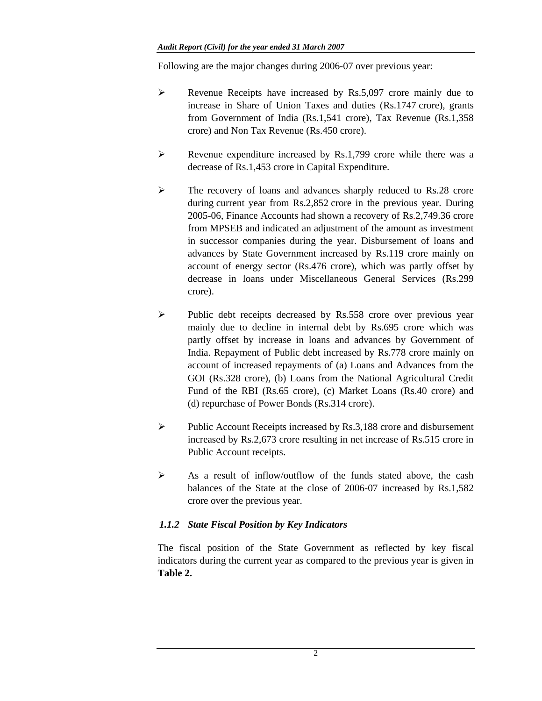Following are the major changes during 2006-07 over previous year:

- ¾ Revenue Receipts have increased by Rs.5,097 crore mainly due to increase in Share of Union Taxes and duties (Rs.1747 crore), grants from Government of India (Rs.1,541 crore), Tax Revenue (Rs.1,358 crore) and Non Tax Revenue (Rs.450 crore).
- $\triangleright$  Revenue expenditure increased by Rs.1,799 crore while there was a decrease of Rs.1,453 crore in Capital Expenditure.
- ¾ The recovery of loans and advances sharply reduced to Rs.28 crore during current year from Rs.2,852 crore in the previous year. During 2005-06, Finance Accounts had shown a recovery of Rs.2,749.36 crore from MPSEB and indicated an adjustment of the amount as investment in successor companies during the year. Disbursement of loans and advances by State Government increased by Rs.119 crore mainly on account of energy sector (Rs.476 crore), which was partly offset by decrease in loans under Miscellaneous General Services (Rs.299 crore).
- ¾ Public debt receipts decreased by Rs.558 crore over previous year mainly due to decline in internal debt by Rs.695 crore which was partly offset by increase in loans and advances by Government of India. Repayment of Public debt increased by Rs.778 crore mainly on account of increased repayments of (a) Loans and Advances from the GOI (Rs.328 crore), (b) Loans from the National Agricultural Credit Fund of the RBI (Rs.65 crore), (c) Market Loans (Rs.40 crore) and (d) repurchase of Power Bonds (Rs.314 crore).
- ¾ Public Account Receipts increased by Rs.3,188 crore and disbursement increased by Rs.2,673 crore resulting in net increase of Rs.515 crore in Public Account receipts.
- $\triangleright$  As a result of inflow/outflow of the funds stated above, the cash balances of the State at the close of 2006-07 increased by Rs.1,582 crore over the previous year.

# *1.1.2 State Fiscal Position by Key Indicators*

The fiscal position of the State Government as reflected by key fiscal indicators during the current year as compared to the previous year is given in **Table 2.**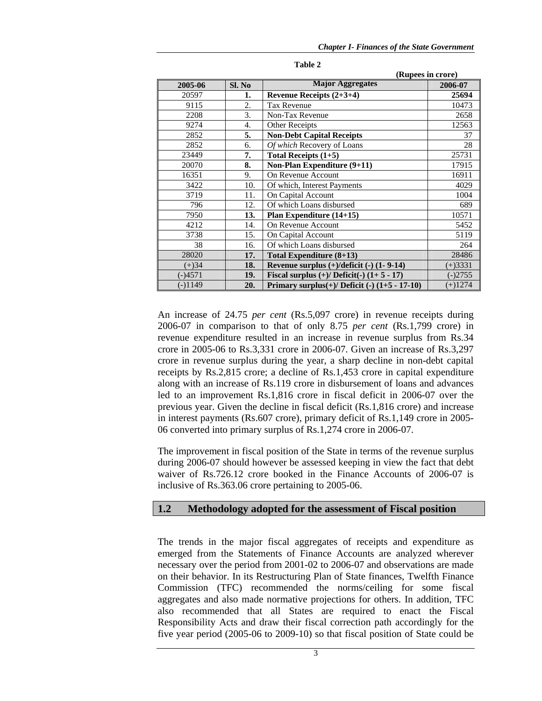|           |        | (Rupees in crore)                                    |           |
|-----------|--------|------------------------------------------------------|-----------|
| 2005-06   | Sl. No | <b>Major Aggregates</b>                              | 2006-07   |
| 20597     | 1.     | Revenue Receipts $(2+3+4)$                           | 25694     |
| 9115      | 2.     | <b>Tax Revenue</b>                                   | 10473     |
| 2208      | 3.     | Non-Tax Revenue                                      | 2658      |
| 9274      | 4.     | Other Receipts                                       | 12563     |
| 2852      | 5.     | <b>Non-Debt Capital Receipts</b>                     | 37        |
| 2852      | 6.     | Of which Recovery of Loans                           | 28        |
| 23449     | 7.     | Total Receipts $(1+5)$                               | 25731     |
| 20070     | 8.     | Non-Plan Expenditure (9+11)                          | 17915     |
| 16351     | 9.     | On Revenue Account                                   | 16911     |
| 3422      | 10.    | Of which, Interest Payments                          | 4029      |
| 3719      | 11.    | On Capital Account                                   | 1004      |
| 796       | 12.    | Of which Loans disbursed                             | 689       |
| 7950      | 13.    | Plan Expenditure $(14+15)$                           | 10571     |
| 4212      | 14.    | On Revenue Account                                   | 5452      |
| 3738      | 15.    | On Capital Account                                   | 5119      |
| 38        | 16.    | Of which Loans disbursed                             | 264       |
| 28020     | 17.    | Total Expenditure $(8+13)$                           | 28486     |
| $(+)34$   | 18.    | Revenue surplus $(+)/$ deficit $(-)$ $(1-9-14)$      | $(+)3331$ |
| $(-)4571$ | 19.    | Fiscal surplus $(+)/$ Deficit $(-)$ $(1+5-17)$       | $(-)2755$ |
| $-11149$  | 20.    | Primary surplus $(+)/$ Deficit $(-)$ $(1+5 - 17-10)$ | $(+)1274$ |

| n<br>н<br>ı.<br>I |  |
|-------------------|--|
|-------------------|--|

An increase of 24.75 *per cent* (Rs.5,097 crore) in revenue receipts during 2006-07 in comparison to that of only 8.75 *per cent* (Rs.1,799 crore) in revenue expenditure resulted in an increase in revenue surplus from Rs.34 crore in 2005-06 to Rs.3,331 crore in 2006-07. Given an increase of Rs.3,297 crore in revenue surplus during the year, a sharp decline in non-debt capital receipts by Rs.2,815 crore; a decline of Rs.1,453 crore in capital expenditure along with an increase of Rs.119 crore in disbursement of loans and advances led to an improvement Rs.1,816 crore in fiscal deficit in 2006-07 over the previous year. Given the decline in fiscal deficit (Rs.1,816 crore) and increase in interest payments (Rs.607 crore), primary deficit of Rs.1,149 crore in 2005- 06 converted into primary surplus of Rs.1,274 crore in 2006-07.

The improvement in fiscal position of the State in terms of the revenue surplus during 2006-07 should however be assessed keeping in view the fact that debt waiver of Rs.726.12 crore booked in the Finance Accounts of 2006-07 is inclusive of Rs.363.06 crore pertaining to 2005-06.

## **1.2 Methodology adopted for the assessment of Fiscal position**

The trends in the major fiscal aggregates of receipts and expenditure as emerged from the Statements of Finance Accounts are analyzed wherever necessary over the period from 2001-02 to 2006-07 and observations are made on their behavior. In its Restructuring Plan of State finances, Twelfth Finance Commission (TFC) recommended the norms/ceiling for some fiscal aggregates and also made normative projections for others. In addition, TFC also recommended that all States are required to enact the Fiscal Responsibility Acts and draw their fiscal correction path accordingly for the five year period (2005-06 to 2009-10) so that fiscal position of State could be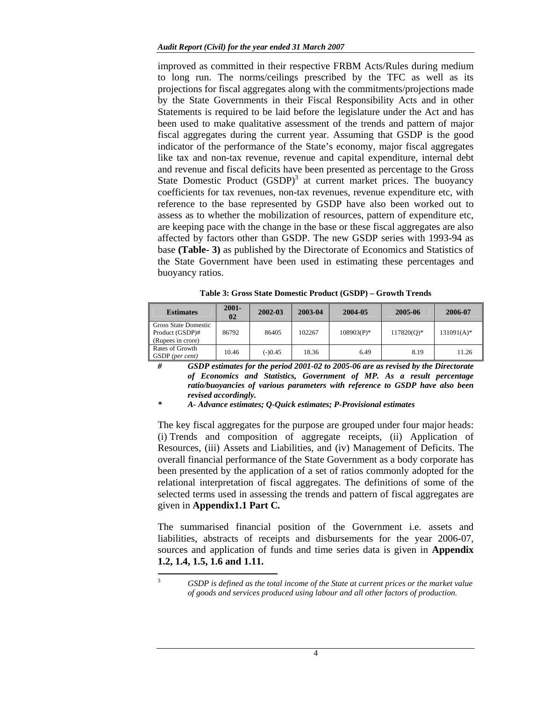improved as committed in their respective FRBM Acts/Rules during medium to long run. The norms/ceilings prescribed by the TFC as well as its projections for fiscal aggregates along with the commitments/projections made by the State Governments in their Fiscal Responsibility Acts and in other Statements is required to be laid before the legislature under the Act and has been used to make qualitative assessment of the trends and pattern of major fiscal aggregates during the current year. Assuming that GSDP is the good indicator of the performance of the State's economy, major fiscal aggregates like tax and non-tax revenue, revenue and capital expenditure, internal debt and revenue and fiscal deficits have been presented as percentage to the Gross State Domestic Product  $(GSDP)^3$  at current market prices. The buoyancy coefficients for tax revenues, non-tax revenues, revenue expenditure etc, with reference to the base represented by GSDP have also been worked out to assess as to whether the mobilization of resources, pattern of expenditure etc, are keeping pace with the change in the base or these fiscal aggregates are also affected by factors other than GSDP. The new GSDP series with 1993-94 as base **(Table- 3)** as published by the Directorate of Economics and Statistics of the State Government have been used in estimating these percentages and buoyancy ratios.

| <b>Estimates</b>                                             | $2001 -$<br>02 | 2002-03 | 2003-04 | 2004-05       | 2005-06      | 2006-07    |
|--------------------------------------------------------------|----------------|---------|---------|---------------|--------------|------------|
| Gross State Domestic<br>Product (GSDP)#<br>(Rupees in crore) | 86792          | 86405   | 102267  | $108903(P)^*$ | $117820(0)*$ | 131091(A)* |
| Rates of Growth<br>GSDP (per cent)                           | 10.46          | $-0.45$ | 18.36   | 6.49          | 8.19         | 11.26      |

**Table 3: Gross State Domestic Product (GSDP) – Growth Trends** 

*# GSDP estimates for the period 2001-02 to 2005-06 are as revised by the Directorate of Economics and Statistics, Government of MP. As a result percentage ratio/buoyancies of various parameters with reference to GSDP have also been revised accordingly.* 

*\* A- Advance estimates; Q-Quick estimates; P-Provisional estimates* 

The key fiscal aggregates for the purpose are grouped under four major heads: (i) Trends and composition of aggregate receipts, (ii) Application of Resources, (iii) Assets and Liabilities, and (iv) Management of Deficits. The overall financial performance of the State Government as a body corporate has been presented by the application of a set of ratios commonly adopted for the relational interpretation of fiscal aggregates. The definitions of some of the selected terms used in assessing the trends and pattern of fiscal aggregates are given in **Appendix1.1 Part C***.*

The summarised financial position of the Government i.e. assets and liabilities, abstracts of receipts and disbursements for the year 2006-07, sources and application of funds and time series data is given in **Appendix 1.2, 1.4, 1.5, 1.6 and 1.11.** 

<sup>2</sup><br>3

*GSDP is defined as the total income of the State at current prices or the market value of goods and services produced using labour and all other factors of production.*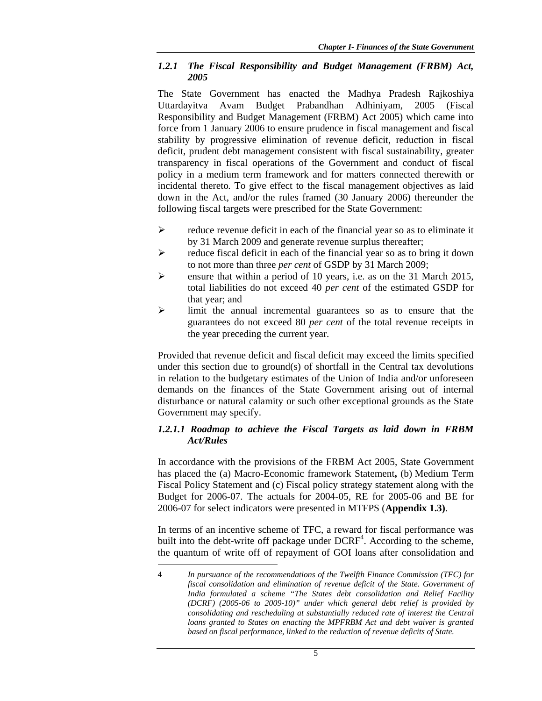## *1.2.1 The Fiscal Responsibility and Budget Management (FRBM) Act, 2005*

The State Government has enacted the Madhya Pradesh Rajkoshiya Uttardayitva Avam Budget Prabandhan Adhiniyam, 2005 (Fiscal Responsibility and Budget Management (FRBM) Act 2005) which came into force from 1 January 2006 to ensure prudence in fiscal management and fiscal stability by progressive elimination of revenue deficit, reduction in fiscal deficit, prudent debt management consistent with fiscal sustainability, greater transparency in fiscal operations of the Government and conduct of fiscal policy in a medium term framework and for matters connected therewith or incidental thereto*.* To give effect to the fiscal management objectives as laid down in the Act, and/or the rules framed (30 January 2006) thereunder the following fiscal targets were prescribed for the State Government:

- $\triangleright$  reduce revenue deficit in each of the financial year so as to eliminate it by 31 March 2009 and generate revenue surplus thereafter;
- $\triangleright$  reduce fiscal deficit in each of the financial year so as to bring it down to not more than three *per cent* of GSDP by 31 March 2009;
- $\triangleright$  ensure that within a period of 10 years, i.e. as on the 31 March 2015, total liabilities do not exceed 40 *per cent* of the estimated GSDP for that year; and
- ¾ limit the annual incremental guarantees so as to ensure that the guarantees do not exceed 80 *per cent* of the total revenue receipts in the year preceding the current year.

Provided that revenue deficit and fiscal deficit may exceed the limits specified under this section due to ground(s) of shortfall in the Central tax devolutions in relation to the budgetary estimates of the Union of India and/or unforeseen demands on the finances of the State Government arising out of internal disturbance or natural calamity or such other exceptional grounds as the State Government may specify.

## *1.2.1.1 Roadmap to achieve the Fiscal Targets as laid down in FRBM Act/Rules*

In accordance with the provisions of the FRBM Act 2005, State Government has placed the (a) Macro-Economic framework Statement**,** (b) Medium Term Fiscal Policy Statement and (c) Fiscal policy strategy statement along with the Budget for 2006-07. The actuals for 2004-05, RE for 2005-06 and BE for 2006-07 for select indicators were presented in MTFPS (**Appendix 1.3)**.

In terms of an incentive scheme of TFC, a reward for fiscal performance was built into the debt-write off package under  $DCRF<sup>4</sup>$ . According to the scheme, the quantum of write off of repayment of GOI loans after consolidation and

 $\overline{a}$ 

<sup>4</sup> *In pursuance of the recommendations of the Twelfth Finance Commission (TFC) for fiscal consolidation and elimination of revenue deficit of the State. Government of India formulated a scheme "The States debt consolidation and Relief Facility (DCRF) (2005-06 to 2009-10)" under which general debt relief is provided by consolidating and rescheduling at substantially reduced rate of interest the Central*  loans granted to States on enacting the MPFRBM Act and debt waiver is granted *based on fiscal performance, linked to the reduction of revenue deficits of State.*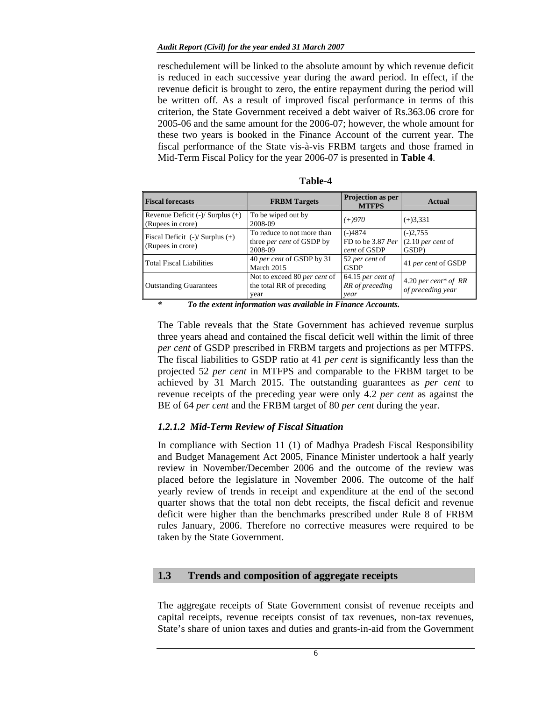reschedulement will be linked to the absolute amount by which revenue deficit is reduced in each successive year during the award period. In effect, if the revenue deficit is brought to zero, the entire repayment during the period will be written off. As a result of improved fiscal performance in terms of this criterion, the State Government received a debt waiver of Rs.363.06 crore for 2005-06 and the same amount for the 2006-07; however, the whole amount for these two years is booked in the Finance Account of the current year. The fiscal performance of the State vis-à-vis FRBM targets and those framed in Mid-Term Fiscal Policy for the year 2006-07 is presented in **Table 4**.

| <b>Fiscal forecasts</b>                                   | <b>FRBM</b> Targets                                                       | Projection as per<br><b>MTFPS</b>              | <b>Actual</b>                               |
|-----------------------------------------------------------|---------------------------------------------------------------------------|------------------------------------------------|---------------------------------------------|
| Revenue Deficit $(-)/$ Surplus $(+)$<br>(Rupees in crore) | To be wiped out by<br>2008-09                                             | $(+)970$                                       | $(+)3,331$                                  |
| Fiscal Deficit $(-)/$ Surplus $(+)$<br>(Rupees in crore)  | To reduce to not more than<br>three <i>per cent</i> of GSDP by<br>2008-09 | $(-)4874$<br>FD to be 3.87 Per<br>cent of GSDP | $(-)2,755$<br>$(2.10$ per cent of<br>GSDP)  |
| Total Fiscal Liabilities                                  | 40 per cent of GSDP by 31<br>March 2015                                   | 52 per cent of<br><b>GSDP</b>                  | 41 per cent of GSDP                         |
| <b>Outstanding Guarantees</b>                             | Not to exceed 80 per cent of<br>the total RR of preceding<br>year         | $64.15$ per cent of<br>RR of preceding<br>year | 4.20 per cent* of $RR$<br>of preceding year |

*\* To the extent information was available in Finance Accounts.* 

The Table reveals that the State Government has achieved revenue surplus three years ahead and contained the fiscal deficit well within the limit of three *per cent* of GSDP prescribed in FRBM targets and projections as per MTFPS. The fiscal liabilities to GSDP ratio at 41 *per cent* is significantly less than the projected 52 *per cent* in MTFPS and comparable to the FRBM target to be achieved by 31 March 2015. The outstanding guarantees as *per cent* to revenue receipts of the preceding year were only 4.2 *per cent* as against the BE of 64 *per cent* and the FRBM target of 80 *per cent* during the year.

### *1.2.1.2 Mid-Term Review of Fiscal Situation*

In compliance with Section 11 (1) of Madhya Pradesh Fiscal Responsibility and Budget Management Act 2005, Finance Minister undertook a half yearly review in November/December 2006 and the outcome of the review was placed before the legislature in November 2006. The outcome of the half yearly review of trends in receipt and expenditure at the end of the second quarter shows that the total non debt receipts, the fiscal deficit and revenue deficit were higher than the benchmarks prescribed under Rule 8 of FRBM rules January, 2006. Therefore no corrective measures were required to be taken by the State Government.

### **1.3 Trends and composition of aggregate receipts**

The aggregate receipts of State Government consist of revenue receipts and capital receipts, revenue receipts consist of tax revenues, non-tax revenues, State's share of union taxes and duties and grants-in-aid from the Government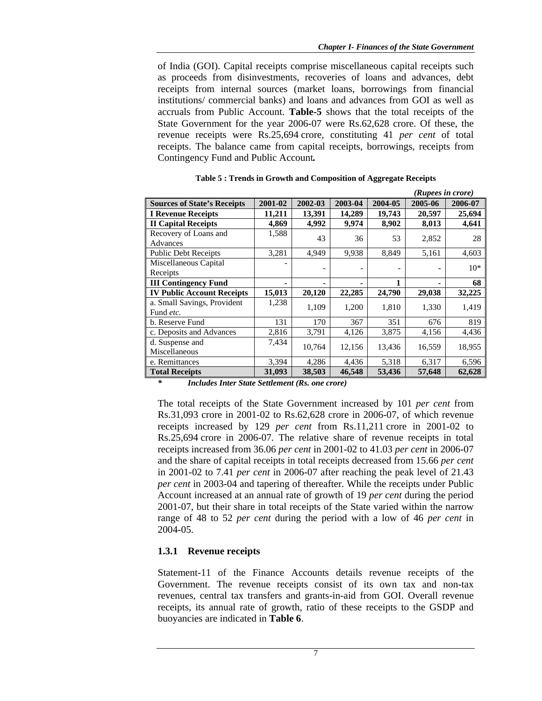of India (GOI). Capital receipts comprise miscellaneous capital receipts such as proceeds from disinvestments, recoveries of loans and advances, debt receipts from internal sources (market loans, borrowings from financial institutions/ commercial banks) and loans and advances from GOI as well as accruals from Public Account. **Table-5** shows that the total receipts of the State Government for the year 2006-07 were Rs.62,628 crore. Of these, the revenue receipts were Rs.25,694 crore, constituting 41 *per cent* of total receipts. The balance came from capital receipts, borrowings, receipts from Contingency Fund and Public Account*.* 

|                                    |         |         |         |         | (Rupees in crore) |         |
|------------------------------------|---------|---------|---------|---------|-------------------|---------|
| <b>Sources of State's Receipts</b> | 2001-02 | 2002-03 | 2003-04 | 2004-05 | 2005-06           | 2006-07 |
| <b>I Revenue Receipts</b>          | 11,211  | 13,391  | 14,289  | 19,743  | 20,597            | 25,694  |
| <b>II Capital Receipts</b>         | 4,869   | 4,992   | 9,974   | 8,902   | 8,013             | 4,641   |
| Recovery of Loans and              | 1,588   | 43      | 36      | 53      | 2,852             | 28      |
| Advances                           |         |         |         |         |                   |         |
| <b>Public Debt Receipts</b>        | 3,281   | 4.949   | 9,938   | 8,849   | 5,161             | 4,603   |
| Miscellaneous Capital              |         |         |         |         |                   | $10*$   |
| Receipts                           |         |         |         |         |                   |         |
| <b>III Contingency Fund</b>        |         |         |         |         |                   | 68      |
| <b>IV Public Account Receipts</b>  | 15,013  | 20,120  | 22,285  | 24,790  | 29,038            | 32,225  |
| a. Small Savings, Provident        | 1,238   | 1,109   | 1,200   | 1,810   | 1,330             | 1,419   |
| Fund etc.                          |         |         |         |         |                   |         |
| b. Reserve Fund                    | 131     | 170     | 367     | 351     | 676               | 819     |
| c. Deposits and Advances           | 2,816   | 3,791   | 4,126   | 3,875   | 4,156             | 4,436   |
| d. Suspense and                    | 7,434   | 10,764  | 12,156  | 13,436  | 16,559            | 18,955  |
| Miscellaneous                      |         |         |         |         |                   |         |
| e. Remittances                     | 3,394   | 4,286   | 4,436   | 5,318   | 6,317             | 6,596   |
| <b>Total Receipts</b>              | 31,093  | 38,503  | 46,548  | 53,436  | 57,648            | 62,628  |

| Table 5 : Trends in Growth and Composition of Aggregate Receipts |  |  |  |  |  |  |  |
|------------------------------------------------------------------|--|--|--|--|--|--|--|
|------------------------------------------------------------------|--|--|--|--|--|--|--|

*\* Includes Inter State Settlement (Rs. one crore)* 

The total receipts of the State Government increased by 101 *per cent* from Rs.31,093 crore in 2001-02 to Rs.62,628 crore in 2006-07, of which revenue receipts increased by 129 *per cent* from Rs.11,211 crore in 2001-02 to Rs.25,694 crore in 2006-07*.* The relative share of revenue receipts in total receipts increased from 36.06 *per cent* in 2001-02 to 41.03 *per cent* in 2006-07 and the share of capital receipts in total receipts decreased from 15.66 *per cent* in 2001-02 to 7.41 *per cent* in 2006-07 after reaching the peak level of 21.43 *per cent* in 2003-04 and tapering of thereafter. While the receipts under Public Account increased at an annual rate of growth of 19 *per cent* during the period 2001-07, but their share in total receipts of the State varied within the narrow range of 48 to 52 *per cent* during the period with a low of 46 *per cent* in 2004-05.

### **1.3.1 Revenue receipts**

Statement-11 of the Finance Accounts details revenue receipts of the Government. The revenue receipts consist of its own tax and non-tax revenues, central tax transfers and grants-in-aid from GOI. Overall revenue receipts, its annual rate of growth, ratio of these receipts to the GSDP and buoyancies are indicated in **Table 6**.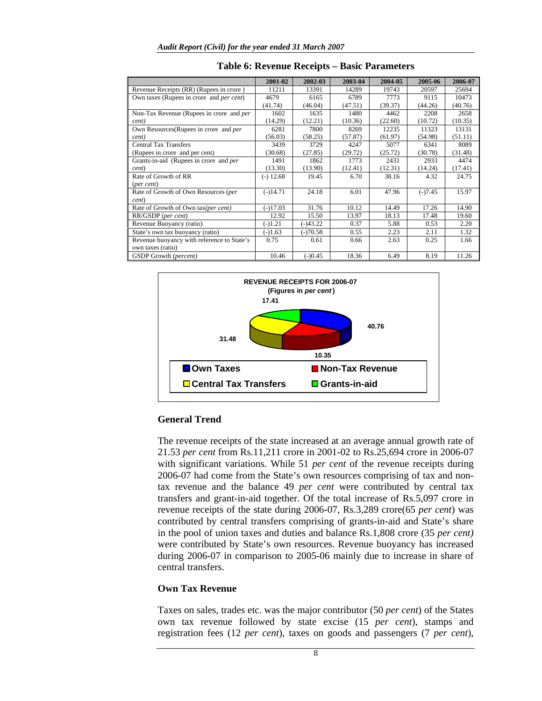|                                                  | 2001-02     | 2002-03    | 2003-04 | 2004-05 | 2005-06   | 2006-07 |
|--------------------------------------------------|-------------|------------|---------|---------|-----------|---------|
| Revenue Receipts (RR) (Rupees in crore)          | 11211       | 13391      | 14289   | 19743   | 20597     | 25694   |
| Own taxes (Rupees in crore and <i>per cent</i> ) | 4679        | 6165       | 6789    | 7773    | 9115      | 10473   |
|                                                  | (41.74)     | (46.04)    | (47.51) | (39.37) | (44.26)   | (40.76) |
| Non-Tax Revenue (Rupees in crore and per         | 1602        | 1635       | 1480    | 4462    | 2208      | 2658    |
| cent)                                            | (14.29)     | (12.21)    | (10.36) | (22.60) | (10.72)   | (10.35) |
| Own Resources(Rupees in crore and per            | 6281        | 7800       | 8269    | 12235   | 11323     | 13131   |
| cent)                                            | (56.03)     | (58.25)    | (57.87) | (61.97) | (54.98)   | (51.11) |
| <b>Central Tax Transfers</b>                     | 3439        | 3729       | 4247    | 5077    | 6341      | 8089    |
| (Rupees in crore and per cent)                   | (30.68)     | (27.85)    | (29.72) | (25.72) | (30.78)   | (31.48) |
| Grants-in-aid (Rupees in crore and per           | 1491        | 1862       | 1773    | 2431    | 2933      | 4474    |
| cent)                                            | (13.30)     | (13.90)    | (12.41) | (12.31) | (14.24)   | (17.41) |
| Rate of Growth of RR                             | $(-)$ 12.68 | 19.45      | 6.70    | 38.16   | 4.32      | 24.75   |
| (per cent)                                       |             |            |         |         |           |         |
| Rate of Growth of Own Resources (per             | $(-)14.71$  | 24.18      | 6.01    | 47.96   | $(-)7.45$ | 15.97   |
| cent)                                            |             |            |         |         |           |         |
| Rate of Growth of Own tax(per cent)              | $(-)17.03$  | 31.76      | 10.12   | 14.49   | 17.26     | 14.90   |
| RR/GSDP (per cent)                               | 12.92       | 15.50      | 13.97   | 18.13   | 17.48     | 19.60   |
| Revenue Buoyancy (ratio)                         | $(-)1.21$   | $(-)43.22$ | 0.37    | 5.88    | 0.53      | 2.20    |
| State's own tax buoyancy (ratio)                 | $(-)1.63$   | $(-)70.58$ | 0.55    | 2.23    | 2.11      | 1.32    |
| Revenue buoyancy with reference to State's       | 0.75        | 0.61       | 0.66    | 2.63    | 0.25      | 1.66    |
| own taxes (ratio)                                |             |            |         |         |           |         |
| <b>GSDP</b> Growth ( <i>percent</i> )            | 10.46       | $(-)0.45$  | 18.36   | 6.49    | 8.19      | 11.26   |

|  |  |  | Table 6: Revenue Receipts - Basic Parameters |
|--|--|--|----------------------------------------------|
|--|--|--|----------------------------------------------|



## **General Trend**

The revenue receipts of the state increased at an average annual growth rate of 21.53 *per cent* from Rs.11,211 crore in 2001-02 to Rs.25,694 crore in 2006-07 with significant variations. While 51 *per cent* of the revenue receipts during 2006-07 had come from the State's own resources comprising of tax and nontax revenue and the balance 49 *per cent* were contributed by central tax transfers and grant-in-aid together. Of the total increase of Rs.5,097 crore in revenue receipts of the state during 2006-07, Rs.3,289 crore(65 *per cent*) was contributed by central transfers comprising of grants-in-aid and State's share in the pool of union taxes and duties and balance Rs.1,808 crore (35 *per cent)* were contributed by State's own resources. Revenue buoyancy has increased during 2006-07 in comparison to 2005-06 mainly due to increase in share of central transfers.

### **Own Tax Revenue**

Taxes on sales, trades etc. was the major contributor (50 *per cent*) of the States own tax revenue followed by state excise (15 *per cent*), stamps and registration fees (12 *per cent*), taxes on goods and passengers (7 *per cent*),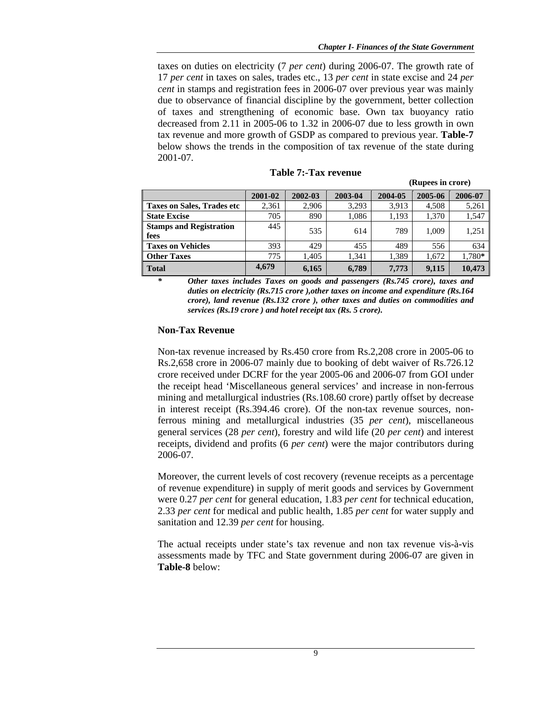taxes on duties on electricity (7 *per cent*) during 2006-07. The growth rate of 17 *per cent* in taxes on sales, trades etc., 13 *per cent* in state excise and 24 *per cent* in stamps and registration fees in 2006-07 over previous year was mainly due to observance of financial discipline by the government, better collection of taxes and strengthening of economic base. Own tax buoyancy ratio decreased from 2.11 in 2005-06 to 1.32 in 2006-07 due to less growth in own tax revenue and more growth of GSDP as compared to previous year. **Table-7** below shows the trends in the composition of tax revenue of the state during 2001-07.

|                                        |         |         |         |         | (Rupees in crore) |         |
|----------------------------------------|---------|---------|---------|---------|-------------------|---------|
|                                        | 2001-02 | 2002-03 | 2003-04 | 2004-05 | 2005-06           | 2006-07 |
| <b>Taxes on Sales, Trades etc</b>      | 2,361   | 2,906   | 3,293   | 3,913   | 4,508             | 5,261   |
| <b>State Excise</b>                    | 705     | 890     | 1,086   | 1,193   | 1,370             | 1,547   |
| <b>Stamps and Registration</b><br>fees | 445     | 535     | 614     | 789     | 1.009             | 1,251   |
| <b>Taxes on Vehicles</b>               | 393     | 429     | 455     | 489     | 556               | 634     |
| <b>Other Taxes</b>                     | 775     | 1.405   | 1.341   | 1,389   | 1,672             | 1,780*  |
| <b>Total</b>                           | 4,679   | 6,165   | 6,789   | 7,773   | 9,115             | 10,473  |

| Table 7:-Tax revenue |  |
|----------------------|--|
|----------------------|--|

*\* Other taxes includes Taxes on goods and passengers (Rs.745 crore), taxes and duties on electricity (Rs.715 crore ),other taxes on income and expenditure (Rs.164 crore), land revenue (Rs.132 crore ), other taxes and duties on commodities and services (Rs.19 crore ) and hotel receipt tax (Rs. 5 crore).* 

## **Non-Tax Revenue**

Non-tax revenue increased by Rs.450 crore from Rs.2,208 crore in 2005-06 to Rs.2,658 crore in 2006-07 mainly due to booking of debt waiver of Rs.726.12 crore received under DCRF for the year 2005-06 and 2006-07 from GOI under the receipt head 'Miscellaneous general services' and increase in non-ferrous mining and metallurgical industries (Rs.108.60 crore) partly offset by decrease in interest receipt (Rs.394.46 crore). Of the non-tax revenue sources, nonferrous mining and metallurgical industries (35 *per cent*), miscellaneous general services (28 *per cent*), forestry and wild life (20 *per cent*) and interest receipts, dividend and profits (6 *per cent*) were the major contributors during 2006-07.

Moreover, the current levels of cost recovery (revenue receipts as a percentage of revenue expenditure) in supply of merit goods and services by Government were 0.27 *per cent* for general education, 1.83 *per cent* for technical education, 2.33 *per cent* for medical and public health, 1.85 *per cent* for water supply and sanitation and 12.39 *per cent* for housing.

The actual receipts under state's tax revenue and non tax revenue vis-à-vis assessments made by TFC and State government during 2006-07 are given in **Table-8** below: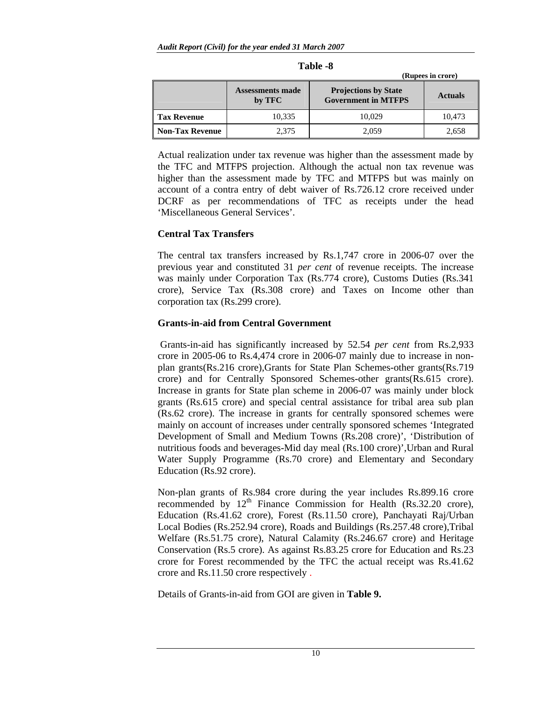| (Rupees in crore)      |                                   |                                                           |                |  |  |  |
|------------------------|-----------------------------------|-----------------------------------------------------------|----------------|--|--|--|
|                        | <b>Assessments made</b><br>by TFC | <b>Projections by State</b><br><b>Government in MTFPS</b> | <b>Actuals</b> |  |  |  |
| <b>Tax Revenue</b>     | 10,335                            | 10.029                                                    | 10,473         |  |  |  |
| <b>Non-Tax Revenue</b> | 2,375                             | 2.059                                                     | 2,658          |  |  |  |

| l'able |
|--------|
|--------|

Actual realization under tax revenue was higher than the assessment made by the TFC and MTFPS projection. Although the actual non tax revenue was higher than the assessment made by TFC and MTFPS but was mainly on account of a contra entry of debt waiver of Rs.726.12 crore received under DCRF as per recommendations of TFC as receipts under the head 'Miscellaneous General Services'.

## **Central Tax Transfers**

The central tax transfers increased by Rs.1,747 crore in 2006-07 over the previous year and constituted 31 *per cent* of revenue receipts. The increase was mainly under Corporation Tax (Rs.774 crore), Customs Duties (Rs.341 crore), Service Tax (Rs.308 crore) and Taxes on Income other than corporation tax (Rs.299 crore).

## **Grants-in-aid from Central Government**

Grants-in-aid has significantly increased by 52.54 *per cent* from Rs.2,933 crore in 2005-06 to Rs.4,474 crore in 2006-07 mainly due to increase in nonplan grants(Rs.216 crore),Grants for State Plan Schemes-other grants(Rs.719 crore) and for Centrally Sponsored Schemes-other grants(Rs.615 crore). Increase in grants for State plan scheme in 2006-07 was mainly under block grants (Rs.615 crore) and special central assistance for tribal area sub plan (Rs.62 crore). The increase in grants for centrally sponsored schemes were mainly on account of increases under centrally sponsored schemes 'Integrated Development of Small and Medium Towns (Rs.208 crore)', 'Distribution of nutritious foods and beverages-Mid day meal (Rs.100 crore)',Urban and Rural Water Supply Programme (Rs.70 crore) and Elementary and Secondary Education (Rs.92 crore).

Non-plan grants of Rs.984 crore during the year includes Rs.899.16 crore recommended by  $12<sup>th</sup>$  Finance Commission for Health (Rs.32.20 crore), Education (Rs.41.62 crore), Forest (Rs.11.50 crore), Panchayati Raj/Urban Local Bodies (Rs.252.94 crore), Roads and Buildings (Rs.257.48 crore),Tribal Welfare (Rs.51.75 crore), Natural Calamity (Rs.246.67 crore) and Heritage Conservation (Rs.5 crore). As against Rs.83.25 crore for Education and Rs.23 crore for Forest recommended by the TFC the actual receipt was Rs.41.62 crore and Rs.11.50 crore respectively .

Details of Grants-in-aid from GOI are given in **Table 9.**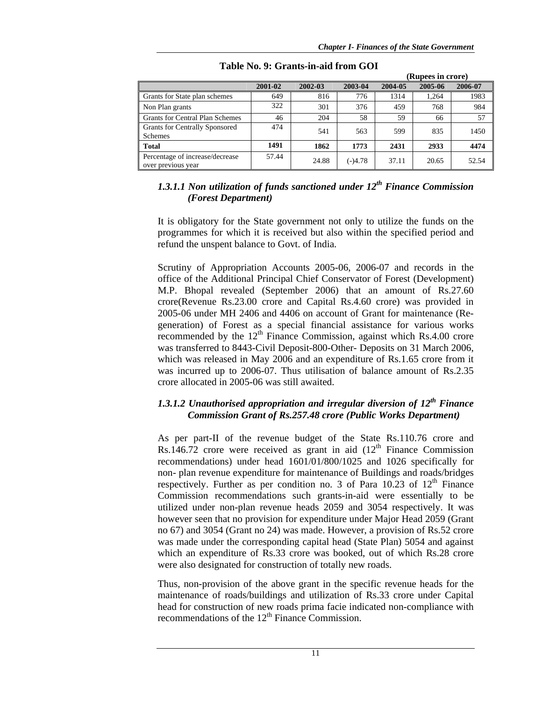|                                                       |         |         |           | (Rupees in crore) |         |         |  |  |
|-------------------------------------------------------|---------|---------|-----------|-------------------|---------|---------|--|--|
|                                                       | 2001-02 | 2002-03 | 2003-04   | 2004-05           | 2005-06 | 2006-07 |  |  |
| Grants for State plan schemes                         | 649     | 816     | 776       | 1314              | 1.264   | 1983    |  |  |
| Non Plan grants                                       | 322     | 301     | 376       | 459               | 768     | 984     |  |  |
| <b>Grants for Central Plan Schemes</b>                | 46      | 204     | 58        | 59                | 66      | 57      |  |  |
| <b>Grants for Centrally Sponsored</b><br>Schemes      | 474     | 541     | 563       | 599               | 835     | 1450    |  |  |
| <b>Total</b>                                          | 1491    | 1862    | 1773      | 2431              | 2933    | 4474    |  |  |
| Percentage of increase/decrease<br>over previous year | 57.44   | 24.88   | $(-)4.78$ | 37.11             | 20.65   | 52.54   |  |  |

**Table No. 9: Grants-in-aid from GOI** 

## *1.3.1.1 Non utilization of funds sanctioned under 12th Finance Commission (Forest Department)*

It is obligatory for the State government not only to utilize the funds on the programmes for which it is received but also within the specified period and refund the unspent balance to Govt. of India.

Scrutiny of Appropriation Accounts 2005-06, 2006-07 and records in the office of the Additional Principal Chief Conservator of Forest (Development) M.P. Bhopal revealed (September 2006) that an amount of Rs.27.60 crore(Revenue Rs.23.00 crore and Capital Rs.4.60 crore) was provided in 2005-06 under MH 2406 and 4406 on account of Grant for maintenance (Regeneration) of Forest as a special financial assistance for various works recommended by the  $12<sup>th</sup>$  Finance Commission, against which Rs.4.00 crore was transferred to 8443-Civil Deposit-800-Other- Deposits on 31 March 2006, which was released in May 2006 and an expenditure of Rs.1.65 crore from it was incurred up to 2006-07. Thus utilisation of balance amount of Rs.2.35 crore allocated in 2005-06 was still awaited.

## *1.3.1.2 Unauthorised appropriation and irregular diversion of 12th Finance Commission Grant of Rs.257.48 crore (Public Works Department)*

As per part-II of the revenue budget of the State Rs.110.76 crore and Rs.146.72 crore were received as grant in aid  $(12<sup>th</sup>$  Finance Commission recommendations) under head 1601/01/800/1025 and 1026 specifically for non- plan revenue expenditure for maintenance of Buildings and roads/bridges respectively. Further as per condition no. 3 of Para  $10.23$  of  $12<sup>th</sup>$  Finance Commission recommendations such grants-in-aid were essentially to be utilized under non-plan revenue heads 2059 and 3054 respectively. It was however seen that no provision for expenditure under Major Head 2059 (Grant no 67) and 3054 (Grant no 24) was made. However, a provision of Rs.52 crore was made under the corresponding capital head (State Plan) 5054 and against which an expenditure of Rs.33 crore was booked, out of which Rs.28 crore were also designated for construction of totally new roads.

Thus, non-provision of the above grant in the specific revenue heads for the maintenance of roads/buildings and utilization of Rs.33 crore under Capital head for construction of new roads prima facie indicated non-compliance with recommendations of the  $12<sup>th</sup>$  Finance Commission.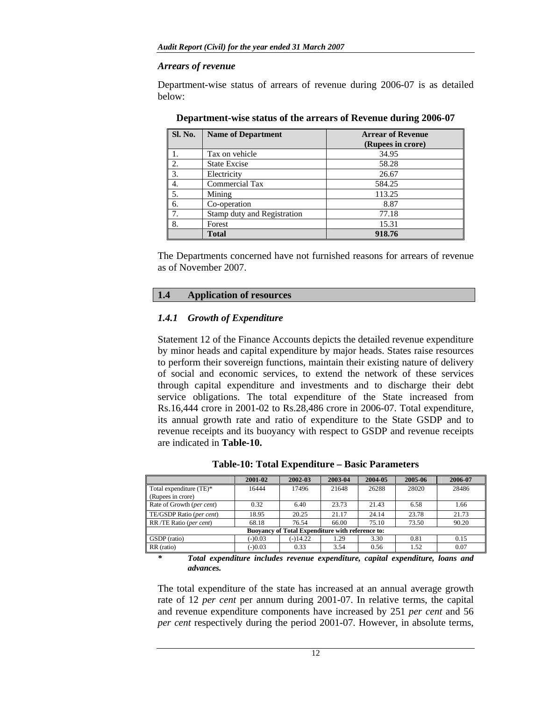### *Arrears of revenue*

Department-wise status of arrears of revenue during 2006-07 is as detailed below:

| <b>Sl. No.</b> | <b>Name of Department</b>   | <b>Arrear of Revenue</b> |
|----------------|-----------------------------|--------------------------|
|                |                             | (Rupees in crore)        |
|                | Tax on vehicle              | 34.95                    |
| 2.             | <b>State Excise</b>         | 58.28                    |
| 3.             | Electricity                 | 26.67                    |
| 4.             | Commercial Tax              | 584.25                   |
| 5.             | Mining                      | 113.25                   |
| 6.             | Co-operation                | 8.87                     |
| 7.             | Stamp duty and Registration | 77.18                    |
| 8.             | Forest                      | 15.31                    |
|                | <b>Total</b>                | 918.76                   |

**Department-wise status of the arrears of Revenue during 2006-07** 

The Departments concerned have not furnished reasons for arrears of revenue as of November 2007.

## **1.4 Application of resources**

## *1.4.1 Growth of Expenditure*

Statement 12 of the Finance Accounts depicts the detailed revenue expenditure by minor heads and capital expenditure by major heads. States raise resources to perform their sovereign functions, maintain their existing nature of delivery of social and economic services, to extend the network of these services through capital expenditure and investments and to discharge their debt service obligations. The total expenditure of the State increased from Rs.16,444 crore in 2001-02 to Rs.28,486 crore in 2006-07. Total expenditure, its annual growth rate and ratio of expenditure to the State GSDP and to revenue receipts and its buoyancy with respect to GSDP and revenue receipts are indicated in **Table-10.** 

**Table-10: Total Expenditure – Basic Parameters** 

|                                                         | 2001-02   | 2002-03    | 2003-04 | 2004-05 | 2005-06 | 2006-07 |  |  |
|---------------------------------------------------------|-----------|------------|---------|---------|---------|---------|--|--|
| Total expenditure (TE)*                                 | 16444     | 17496      | 21648   | 26288   | 28020   | 28486   |  |  |
| (Rupees in crore)                                       |           |            |         |         |         |         |  |  |
| Rate of Growth (per cent)                               | 0.32      | 6.40       | 23.73   | 21.43   | 6.58    | 1.66    |  |  |
| TE/GSDP Ratio (per cent)                                | 18.95     | 20.25      | 21.17   | 24.14   | 23.78   | 21.73   |  |  |
| RR /TE Ratio (per cent)                                 | 68.18     | 76.54      | 66.00   | 75.10   | 73.50   | 90.20   |  |  |
| <b>Buoyancy of Total Expenditure with reference to:</b> |           |            |         |         |         |         |  |  |
| GSDP (ratio)                                            | $(-)0.03$ | $(-)14.22$ | 1.29    | 3.30    | 0.81    | 0.15    |  |  |
| RR (ratio)                                              | $(-)0.03$ | 0.33       | 3.54    | 0.56    | 1.52    | 0.07    |  |  |

*\* Total expenditure includes revenue expenditure, capital expenditure, loans and advances.* 

The total expenditure of the state has increased at an annual average growth rate of 12 *per cent* per annum during 2001-07. In relative terms, the capital and revenue expenditure components have increased by 251 *per cent* and 56 *per cent* respectively during the period 2001-07. However, in absolute terms,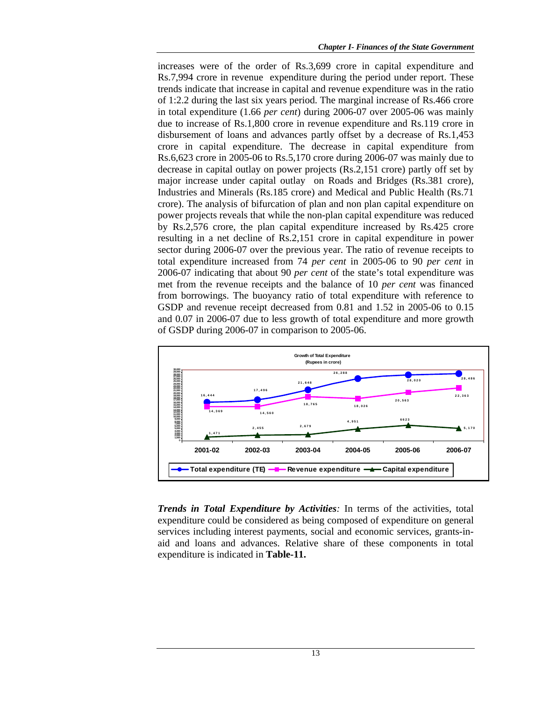increases were of the order of Rs.3,699 crore in capital expenditure and Rs.7,994 crore in revenue expenditure during the period under report. These trends indicate that increase in capital and revenue expenditure was in the ratio of 1:2.2 during the last six years period. The marginal increase of Rs.466 crore in total expenditure (1.66 *per cent*) during 2006-07 over 2005-06 was mainly due to increase of Rs.1,800 crore in revenue expenditure and Rs.119 crore in disbursement of loans and advances partly offset by a decrease of Rs.1,453 crore in capital expenditure. The decrease in capital expenditure from Rs.6,623 crore in 2005-06 to Rs.5,170 crore during 2006-07 was mainly due to decrease in capital outlay on power projects (Rs.2,151 crore) partly off set by major increase under capital outlay on Roads and Bridges (Rs.381 crore), Industries and Minerals (Rs.185 crore) and Medical and Public Health (Rs.71 crore). The analysis of bifurcation of plan and non plan capital expenditure on power projects reveals that while the non-plan capital expenditure was reduced by Rs.2,576 crore, the plan capital expenditure increased by Rs.425 crore resulting in a net decline of Rs.2,151 crore in capital expenditure in power sector during 2006-07 over the previous year. The ratio of revenue receipts to total expenditure increased from 74 *per cent* in 2005-06 to 90 *per cent* in 2006-07 indicating that about 90 *per cent* of the state's total expenditure was met from the revenue receipts and the balance of 10 *per cent* was financed from borrowings. The buoyancy ratio of total expenditure with reference to GSDP and revenue receipt decreased from 0.81 and 1.52 in 2005-06 to 0.15 and 0.07 in 2006-07 due to less growth of total expenditure and more growth of GSDP during 2006-07 in comparison to 2005-06.



*Trends in Total Expenditure by Activities:* In terms of the activities, total expenditure could be considered as being composed of expenditure on general services including interest payments, social and economic services, grants-inaid and loans and advances. Relative share of these components in total expenditure is indicated in **Table-11.**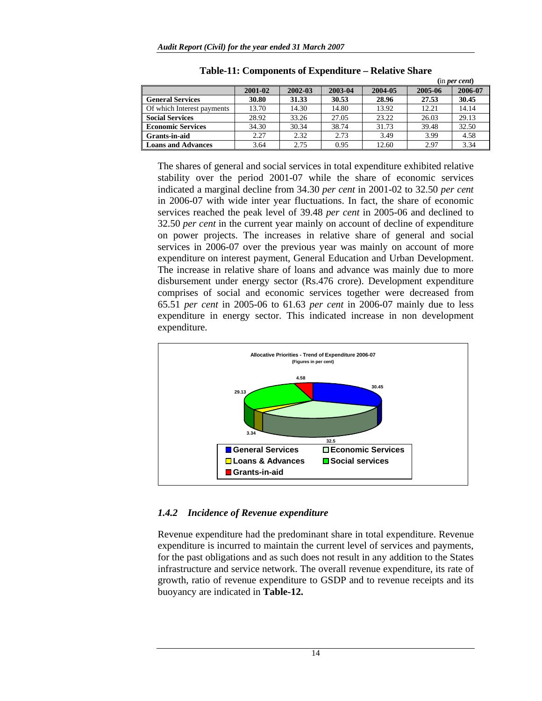|                            |         |         | (in per cent) |         |         |         |
|----------------------------|---------|---------|---------------|---------|---------|---------|
|                            | 2001-02 | 2002-03 | 2003-04       | 2004-05 | 2005-06 | 2006-07 |
| <b>General Services</b>    | 30.80   | 31.33   | 30.53         | 28.96   | 27.53   | 30.45   |
| Of which Interest payments | 13.70   | 14.30   | 14.80         | 13.92   | 12.21   | 14.14   |
| <b>Social Services</b>     | 28.92   | 33.26   | 27.05         | 23.22   | 26.03   | 29.13   |
| <b>Economic Services</b>   | 34.30   | 30.34   | 38.74         | 31.73   | 39.48   | 32.50   |
| Grants-in-aid              | 2.27    | 2.32    | 2.73          | 3.49    | 3.99    | 4.58    |
| <b>Loans and Advances</b>  | 3.64    | 2.75    | 0.95          | 12.60   | 2.97    | 3.34    |

The shares of general and social services in total expenditure exhibited relative stability over the period 2001-07 while the share of economic services indicated a marginal decline from 34.30 *per cent* in 2001-02 to 32.50 *per cent* in 2006-07 with wide inter year fluctuations. In fact, the share of economic services reached the peak level of 39.48 *per cent* in 2005-06 and declined to 32.50 *per cent* in the current year mainly on account of decline of expenditure on power projects. The increases in relative share of general and social services in 2006-07 over the previous year was mainly on account of more expenditure on interest payment, General Education and Urban Development. The increase in relative share of loans and advance was mainly due to more disbursement under energy sector (Rs.476 crore). Development expenditure comprises of social and economic services together were decreased from 65.51 *per cent* in 2005-06 to 61.63 *per cent* in 2006-07 mainly due to less expenditure in energy sector. This indicated increase in non development expenditure.



## *1.4.2 Incidence of Revenue expenditure*

Revenue expenditure had the predominant share in total expenditure. Revenue expenditure is incurred to maintain the current level of services and payments, for the past obligations and as such does not result in any addition to the States infrastructure and service network. The overall revenue expenditure, its rate of growth, ratio of revenue expenditure to GSDP and to revenue receipts and its buoyancy are indicated in **Table-12.**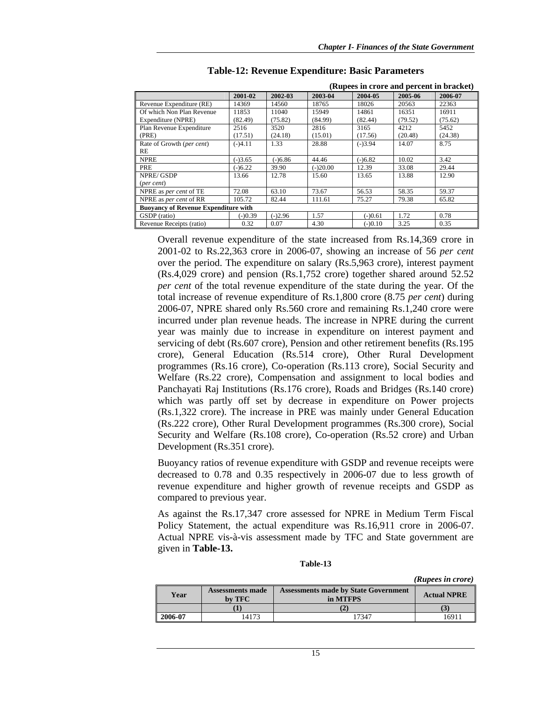**(Rupees in crore and percent in bracket)** 

|                                             | $\mathbf{R}$ in true and percent in $\mathbf{R}$ acked |           |            |           |         |         |  |  |
|---------------------------------------------|--------------------------------------------------------|-----------|------------|-----------|---------|---------|--|--|
|                                             | 2001-02                                                | 2002-03   | 2003-04    | 2004-05   | 2005-06 | 2006-07 |  |  |
| Revenue Expenditure (RE)                    | 14369                                                  | 14560     | 18765      | 18026     | 20563   | 22363   |  |  |
| Of which Non Plan Revenue                   | 11853                                                  | 11040     | 15949      | 14861     | 16351   | 16911   |  |  |
| Expenditure (NPRE)                          | (82.49)                                                | (75.82)   | (84.99)    | (82.44)   | (79.52) | (75.62) |  |  |
| Plan Revenue Expenditure                    | 2516                                                   | 3520      | 2816       | 3165      | 4212    | 5452    |  |  |
| (PRE)                                       | (17.51)                                                | (24.18)   | (15.01)    | (17.56)   | (20.48) | (24.38) |  |  |
| Rate of Growth (per cent)                   | $(-)4.11$                                              | 1.33      | 28.88      | $(-)3.94$ | 14.07   | 8.75    |  |  |
| RE                                          |                                                        |           |            |           |         |         |  |  |
| <b>NPRE</b>                                 | $(-)3.65$                                              | $(-)6.86$ | 44.46      | $(-)6.82$ | 10.02   | 3.42    |  |  |
| PRE                                         | $(-)6.22$                                              | 39.90     | $(-)20.00$ | 12.39     | 33.08   | 29.44   |  |  |
| NPRE/GSDP                                   | 13.66                                                  | 12.78     | 15.60      | 13.65     | 13.88   | 12.90   |  |  |
| ${\rm (per \, cent)}$                       |                                                        |           |            |           |         |         |  |  |
| NPRE as per cent of TE                      | 72.08                                                  | 63.10     | 73.67      | 56.53     | 58.35   | 59.37   |  |  |
| NPRE as <i>per cent</i> of RR               | 105.72                                                 | 82.44     | 111.61     | 75.27     | 79.38   | 65.82   |  |  |
| <b>Buoyancy of Revenue Expenditure with</b> |                                                        |           |            |           |         |         |  |  |
| GSDP (ratio)                                | $(-)0.39$                                              | $(-)2.96$ | 1.57       | $(-)0.61$ | 1.72    | 0.78    |  |  |
| Revenue Receipts (ratio)                    | 0.32                                                   | 0.07      | 4.30       | $(-)0.10$ | 3.25    | 0.35    |  |  |

|  |  |  |  | <b>Table-12: Revenue Expenditure: Basic Parameters</b> |
|--|--|--|--|--------------------------------------------------------|
|--|--|--|--|--------------------------------------------------------|

Overall revenue expenditure of the state increased from Rs.14,369 crore in 2001-02 to Rs.22,363 crore in 2006-07, showing an increase of 56 *per cent* over the period. The expenditure on salary (Rs.5,963 crore), interest payment (Rs.4,029 crore) and pension (Rs.1,752 crore) together shared around 52.52 *per cent* of the total revenue expenditure of the state during the year. Of the total increase of revenue expenditure of Rs.1,800 crore (8.75 *per cent*) during 2006-07, NPRE shared only Rs.560 crore and remaining Rs.1,240 crore were incurred under plan revenue heads. The increase in NPRE during the current year was mainly due to increase in expenditure on interest payment and servicing of debt (Rs.607 crore), Pension and other retirement benefits (Rs.195 crore), General Education (Rs.514 crore), Other Rural Development programmes (Rs.16 crore), Co-operation (Rs.113 crore), Social Security and Welfare (Rs.22 crore), Compensation and assignment to local bodies and Panchayati Raj Institutions (Rs.176 crore), Roads and Bridges (Rs.140 crore) which was partly off set by decrease in expenditure on Power projects (Rs.1,322 crore). The increase in PRE was mainly under General Education (Rs.222 crore), Other Rural Development programmes (Rs.300 crore), Social Security and Welfare (Rs.108 crore), Co-operation (Rs.52 crore) and Urban Development (Rs.351 crore).

Buoyancy ratios of revenue expenditure with GSDP and revenue receipts were decreased to 0.78 and 0.35 respectively in 2006-07 due to less growth of revenue expenditure and higher growth of revenue receipts and GSDP as compared to previous year.

As against the Rs.17,347 crore assessed for NPRE in Medium Term Fiscal Policy Statement, the actual expenditure was Rs.16,911 crore in 2006-07. Actual NPRE vis-à-vis assessment made by TFC and State government are given in **Table-13.** 

|         |                                   |                                                         | (Rupees in crore)  |
|---------|-----------------------------------|---------------------------------------------------------|--------------------|
| Year    | <b>Assessments made</b><br>by TFC | <b>Assessments made by State Government</b><br>in MTFPS | <b>Actual NPRE</b> |
|         |                                   |                                                         |                    |
| 2006-07 | 14173                             | 7347                                                    | 16911              |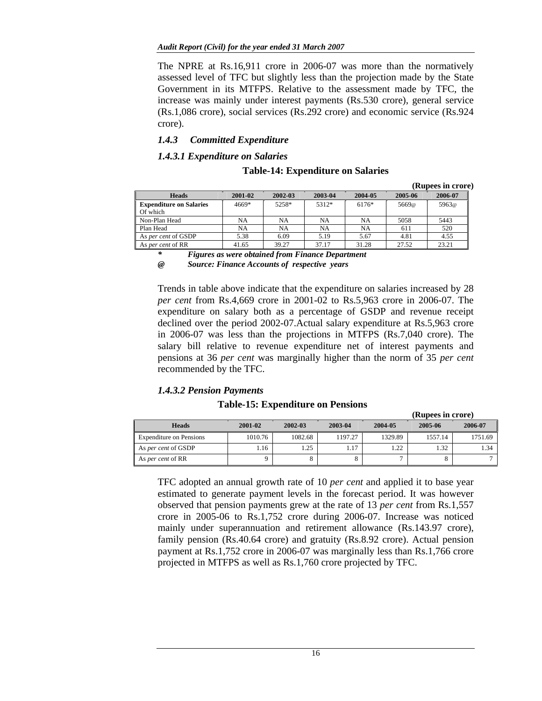The NPRE at Rs.16,911 crore in 2006-07 was more than the normatively assessed level of TFC but slightly less than the projection made by the State Government in its MTFPS. Relative to the assessment made by TFC, the increase was mainly under interest payments (Rs.530 crore), general service (Rs.1,086 crore), social services (Rs.292 crore) and economic service (Rs.924 crore).

# *1.4.3 Committed Expenditure*

## *1.4.3.1 Expenditure on Salaries*

## **Table-14: Expenditure on Salaries**

|                                            |         |         |         |         |                   | (Rupees in crore) |
|--------------------------------------------|---------|---------|---------|---------|-------------------|-------------------|
| <b>Heads</b>                               | 2001-02 | 2002-03 | 2003-04 | 2004-05 | 2005-06           | 2006-07           |
| <b>Expenditure on Salaries</b><br>Of which | 4669*   | 5258*   | 5312*   | 6176*   | 5669 <sub>@</sub> | 5963 <sub>@</sub> |
| Non-Plan Head                              | NA      | NA      | NA      | NA      | 5058              | 5443              |
| Plan Head                                  | NA      | NA      | NA      | NA      | 611               | 520               |
| As per cent of GSDP                        | 5.38    | 6.09    | 5.19    | 5.67    | 4.81              | 4.55              |
| As per cent of RR                          | 41.65   | 39.27   | 37.17   | 31.28   | 27.52             | 23.21             |

*\* Figures as were obtained from Finance Department @ Source: Finance Accounts of respective years* 

Trends in table above indicate that the expenditure on salaries increased by 28 *per cent* from Rs.4,669 crore in 2001-02 to Rs.5,963 crore in 2006-07. The expenditure on salary both as a percentage of GSDP and revenue receipt declined over the period 2002-07.Actual salary expenditure at Rs.5,963 crore in 2006-07 was less than the projections in MTFPS (Rs.7,040 crore). The salary bill relative to revenue expenditure net of interest payments and pensions at 36 *per cent* was marginally higher than the norm of 35 *per cent* recommended by the TFC.

# *1.4.3.2 Pension Payments*

## **Table-15: Expenditure on Pensions**

|                                |         |         |         | (Rupees in crore) |         |         |  |
|--------------------------------|---------|---------|---------|-------------------|---------|---------|--|
| <b>Heads</b>                   | 2001-02 | 2002-03 | 2003-04 | 2004-05           | 2005-06 | 2006-07 |  |
| <b>Expenditure on Pensions</b> | 1010.76 | 1082.68 | 1197.27 | 1329.89           | 1557.14 | 1751.69 |  |
| As per cent of GSDP            | 1.16    | 1.25    | 1.17    | 1.22              | 1.32    | 1.34    |  |
| As per cent of RR              |         |         |         |                   |         |         |  |

TFC adopted an annual growth rate of 10 *per cent* and applied it to base year estimated to generate payment levels in the forecast period. It was however observed that pension payments grew at the rate of 13 *per cent* from Rs.1,557 crore in 2005-06 to Rs.1,752 crore during 2006-07. Increase was noticed mainly under superannuation and retirement allowance (Rs.143.97 crore), family pension (Rs.40.64 crore) and gratuity (Rs.8.92 crore). Actual pension payment at Rs.1,752 crore in 2006-07 was marginally less than Rs.1,766 crore projected in MTFPS as well as Rs.1,760 crore projected by TFC.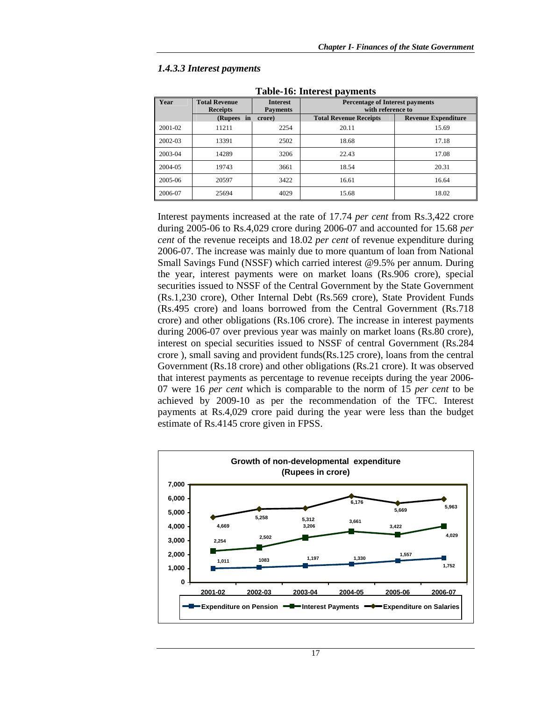### *1.4.3.3 Interest payments*

|         | rabic ro. microsc payments              |                                    |                                                             |       |  |  |  |  |  |
|---------|-----------------------------------------|------------------------------------|-------------------------------------------------------------|-------|--|--|--|--|--|
| Year    | <b>Total Revenue</b><br><b>Receipts</b> | <b>Interest</b><br><b>Payments</b> | <b>Percentage of Interest payments</b><br>with reference to |       |  |  |  |  |  |
|         | (Rupees in                              | crore)                             | <b>Revenue Expenditure</b><br><b>Total Revenue Receipts</b> |       |  |  |  |  |  |
| 2001-02 | 11211                                   | 2254                               | 20.11                                                       | 15.69 |  |  |  |  |  |
| 2002-03 | 13391                                   | 2502                               | 18.68                                                       | 17.18 |  |  |  |  |  |
| 2003-04 | 14289                                   | 3206                               | 22.43                                                       | 17.08 |  |  |  |  |  |
| 2004-05 | 19743                                   | 3661                               | 18.54                                                       | 20.31 |  |  |  |  |  |
| 2005-06 | 20597                                   | 3422                               | 16.61                                                       | 16.64 |  |  |  |  |  |
| 2006-07 | 25694                                   | 4029                               | 15.68                                                       | 18.02 |  |  |  |  |  |

**Table-16: Interest payments** 

Interest payments increased at the rate of 17.74 *per cent* from Rs.3,422 crore during 2005-06 to Rs.4,029 crore during 2006-07 and accounted for 15.68 *per cent* of the revenue receipts and 18.02 *per cent* of revenue expenditure during 2006-07. The increase was mainly due to more quantum of loan from National Small Savings Fund (NSSF) which carried interest @9.5% per annum. During the year, interest payments were on market loans (Rs.906 crore), special securities issued to NSSF of the Central Government by the State Government (Rs.1,230 crore), Other Internal Debt (Rs.569 crore), State Provident Funds (Rs.495 crore) and loans borrowed from the Central Government (Rs.718 crore) and other obligations (Rs.106 crore). The increase in interest payments during 2006-07 over previous year was mainly on market loans (Rs.80 crore), interest on special securities issued to NSSF of central Government (Rs.284 crore ), small saving and provident funds(Rs.125 crore), loans from the central Government (Rs.18 crore) and other obligations (Rs.21 crore). It was observed that interest payments as percentage to revenue receipts during the year 2006- 07 were 16 *per cent* which is comparable to the norm of 15 *per cent* to be achieved by 2009-10 as per the recommendation of the TFC. Interest payments at Rs.4,029 crore paid during the year were less than the budget estimate of Rs.4145 crore given in FPSS.

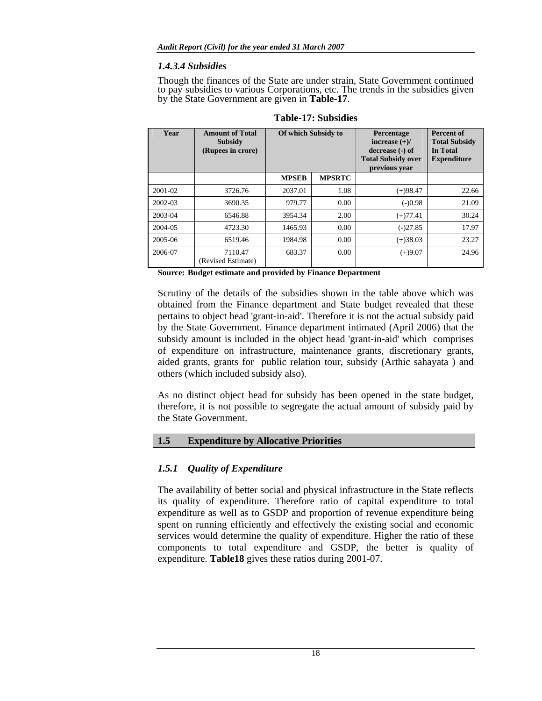## *1.4.3.4 Subsidies*

Though the finances of the State are under strain, State Government continued to pay subsidies to various Corporations, etc. The trends in the subsidies given by the State Government are given in **Table-17**.

| Year    | <b>Amount of Total</b><br><b>Subsidy</b><br>(Rupees in crore) | Of which Subsidy to |               |            |       | Percentage<br>increase $(+)/$<br>decrease (-) of<br><b>Total Subsidy over</b><br>previous year | <b>Percent of</b><br><b>Total Subsidy</b><br>In Total<br><b>Expenditure</b> |
|---------|---------------------------------------------------------------|---------------------|---------------|------------|-------|------------------------------------------------------------------------------------------------|-----------------------------------------------------------------------------|
|         |                                                               | <b>MPSEB</b>        | <b>MPSRTC</b> |            |       |                                                                                                |                                                                             |
| 2001-02 | 3726.76                                                       | 2037.01             | 1.08          | $(+)98.47$ | 22.66 |                                                                                                |                                                                             |
| 2002-03 | 3690.35                                                       | 979.77              | 0.00          | $(-)0.98$  | 21.09 |                                                                                                |                                                                             |
| 2003-04 | 6546.88                                                       | 3954.34             | 2.00          | $(+)77.41$ | 30.24 |                                                                                                |                                                                             |
| 2004-05 | 4723.30                                                       | 1465.93             | 0.00          | $(-)27.85$ | 17.97 |                                                                                                |                                                                             |
| 2005-06 | 6519.46                                                       | 1984.98             | 0.00          | $(+)38.03$ | 23.27 |                                                                                                |                                                                             |
| 2006-07 | 7110.47<br>(Revised Estimate)                                 | 683.37              | 0.00          | $(+)9.07$  | 24.96 |                                                                                                |                                                                             |

**Table-17: Subsidies** 

**Source: Budget estimate and provided by Finance Department** 

Scrutiny of the details of the subsidies shown in the table above which was obtained from the Finance department and State budget revealed that these pertains to object head 'grant-in-aid'. Therefore it is not the actual subsidy paid by the State Government. Finance department intimated (April 2006) that the subsidy amount is included in the object head 'grant-in-aid' which comprises of expenditure on infrastructure, maintenance grants, discretionary grants, aided grants, grants for public relation tour, subsidy (Arthic sahayata ) and others (which included subsidy also).

As no distinct object head for subsidy has been opened in the state budget, therefore, it is not possible to segregate the actual amount of subsidy paid by the State Government.

## **1.5 Expenditure by Allocative Priorities**

## *1.5.1 Quality of Expenditure*

The availability of better social and physical infrastructure in the State reflects its quality of expenditure. Therefore ratio of capital expenditure to total expenditure as well as to GSDP and proportion of revenue expenditure being spent on running efficiently and effectively the existing social and economic services would determine the quality of expenditure. Higher the ratio of these components to total expenditure and GSDP, the better is quality of expenditure. **Table18** gives these ratios during 2001-07.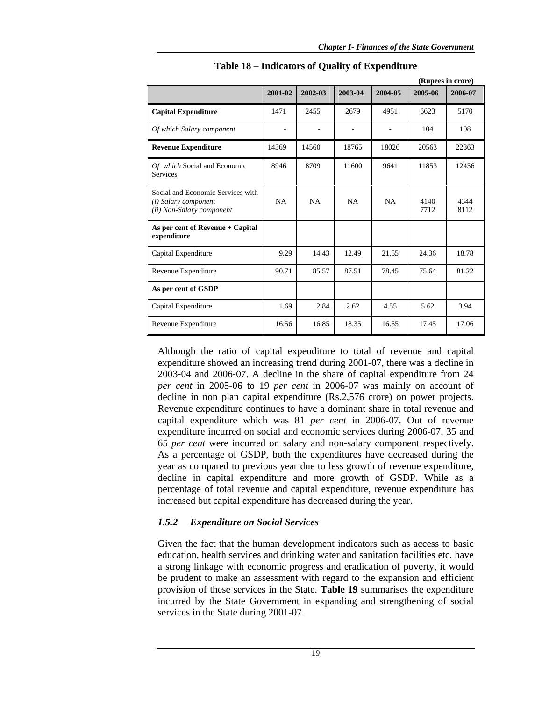|                                                                                        |           |           |           |           |              | (Rupees in crore) |
|----------------------------------------------------------------------------------------|-----------|-----------|-----------|-----------|--------------|-------------------|
|                                                                                        | 2001-02   | 2002-03   | 2003-04   | 2004-05   | 2005-06      | 2006-07           |
| <b>Capital Expenditure</b>                                                             | 1471      | 2455      | 2679      | 4951      | 6623         | 5170              |
| Of which Salary component                                                              |           |           |           |           | 104          | 108               |
| <b>Revenue Expenditure</b>                                                             | 14369     | 14560     | 18765     | 18026     | 20563        | 22363             |
| Of which Social and Economic<br><b>Services</b>                                        | 8946      | 8709      | 11600     | 9641      | 11853        | 12456             |
| Social and Economic Services with<br>(i) Salary component<br>(ii) Non-Salary component | <b>NA</b> | <b>NA</b> | <b>NA</b> | <b>NA</b> | 4140<br>7712 | 4344<br>8112      |
| As per cent of Revenue + Capital<br>expenditure                                        |           |           |           |           |              |                   |
| Capital Expenditure                                                                    | 9.29      | 14.43     | 12.49     | 21.55     | 24.36        | 18.78             |
| Revenue Expenditure                                                                    | 90.71     | 85.57     | 87.51     | 78.45     | 75.64        | 81.22             |
| As per cent of GSDP                                                                    |           |           |           |           |              |                   |
| Capital Expenditure                                                                    | 1.69      | 2.84      | 2.62      | 4.55      | 5.62         | 3.94              |
| Revenue Expenditure                                                                    | 16.56     | 16.85     | 18.35     | 16.55     | 17.45        | 17.06             |

**Table 18 – Indicators of Quality of Expenditure** 

Although the ratio of capital expenditure to total of revenue and capital expenditure showed an increasing trend during 2001-07, there was a decline in 2003-04 and 2006-07. A decline in the share of capital expenditure from 24 *per cent* in 2005-06 to 19 *per cent* in 2006-07 was mainly on account of decline in non plan capital expenditure (Rs.2,576 crore) on power projects. Revenue expenditure continues to have a dominant share in total revenue and capital expenditure which was 81 *per cent* in 2006-07. Out of revenue expenditure incurred on social and economic services during 2006-07, 35 and 65 *per cent* were incurred on salary and non-salary component respectively. As a percentage of GSDP, both the expenditures have decreased during the year as compared to previous year due to less growth of revenue expenditure, decline in capital expenditure and more growth of GSDP. While as a percentage of total revenue and capital expenditure, revenue expenditure has increased but capital expenditure has decreased during the year.

# *1.5.2 Expenditure on Social Services*

Given the fact that the human development indicators such as access to basic education, health services and drinking water and sanitation facilities etc. have a strong linkage with economic progress and eradication of poverty, it would be prudent to make an assessment with regard to the expansion and efficient provision of these services in the State. **Table 19** summarises the expenditure incurred by the State Government in expanding and strengthening of social services in the State during 2001-07.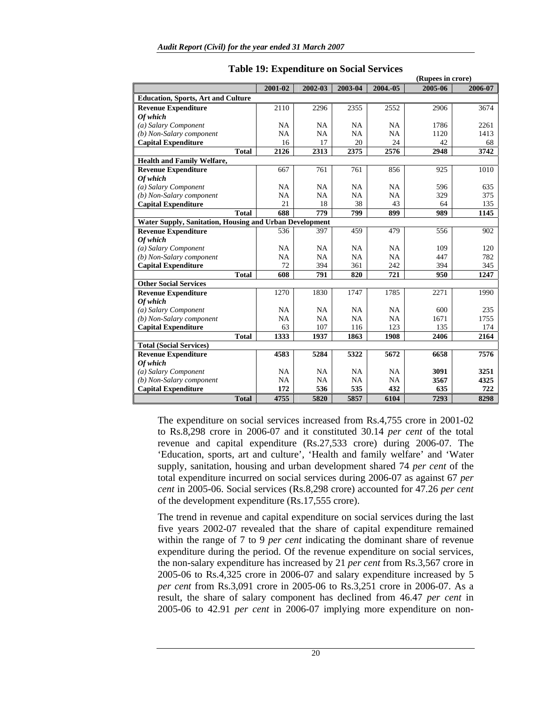|                                                                |              |           |           |           |           | (Rupees in crore) |         |
|----------------------------------------------------------------|--------------|-----------|-----------|-----------|-----------|-------------------|---------|
|                                                                |              | 2001-02   | 2002-03   | 2003-04   | 2004.-05  | 2005-06           | 2006-07 |
| <b>Education, Sports, Art and Culture</b>                      |              |           |           |           |           |                   |         |
| <b>Revenue Expenditure</b>                                     |              | 2110      | 2296      | 2355      | 2552      | 2906              | 3674    |
| Of which                                                       |              |           |           |           |           |                   |         |
| (a) Salary Component                                           |              | NA        | <b>NA</b> | <b>NA</b> | <b>NA</b> | 1786              | 2261    |
| (b) Non-Salary component                                       |              | NA        | <b>NA</b> | <b>NA</b> | NA        | 1120              | 1413    |
| <b>Capital Expenditure</b>                                     |              | 16        | 17        | 20        | 24        | 42                | 68      |
|                                                                | <b>Total</b> | 2126      | 2313      | 2375      | 2576      | 2948              | 3742    |
| <b>Health and Family Welfare,</b>                              |              |           |           |           |           |                   |         |
| <b>Revenue Expenditure</b>                                     |              | 667       | 761       | 761       | 856       | 925               | 1010    |
| Of which                                                       |              |           |           |           |           |                   |         |
| (a) Salary Component                                           |              | NA        | NA        | <b>NA</b> | <b>NA</b> | 596               | 635     |
| (b) Non-Salary component                                       |              | <b>NA</b> | <b>NA</b> | <b>NA</b> | <b>NA</b> | 329               | 375     |
| <b>Capital Expenditure</b>                                     |              | 21        | 18        | 38        | 43        | 64                | 135     |
|                                                                | <b>Total</b> | 688       | 779       | 799       | 899       | 989               | 1145    |
| <b>Water Supply, Sanitation, Housing and Urban Development</b> |              |           |           |           |           |                   |         |
| <b>Revenue Expenditure</b>                                     |              | 536       | 397       | 459       | 479       | 556               | 902     |
| Of which                                                       |              |           |           |           |           |                   |         |
| (a) Salary Component                                           |              | <b>NA</b> | <b>NA</b> | <b>NA</b> | <b>NA</b> | 109               | 120     |
| (b) Non-Salary component                                       |              | <b>NA</b> | <b>NA</b> | <b>NA</b> | <b>NA</b> | 447               | 782     |
| <b>Capital Expenditure</b>                                     |              | 72        | 394       | 361       | 242       | 394               | 345     |
|                                                                | <b>Total</b> | 608       | 791       | 820       | 721       | 950               | 1247    |
| <b>Other Social Services</b>                                   |              |           |           |           |           |                   |         |
| <b>Revenue Expenditure</b>                                     |              | 1270      | 1830      | 1747      | 1785      | 2271              | 1990    |
| Of which                                                       |              |           |           |           |           |                   |         |
| (a) Salary Component                                           |              | NA        | NA        | <b>NA</b> | NA        | 600               | 235     |
| (b) Non-Salary component                                       |              | <b>NA</b> | <b>NA</b> | <b>NA</b> | <b>NA</b> | 1671              | 1755    |
| <b>Capital Expenditure</b>                                     |              | 63        | 107       | 116       | 123       | 135               | 174     |
|                                                                | <b>Total</b> | 1333      | 1937      | 1863      | 1908      | 2406              | 2164    |
| <b>Total (Social Services)</b>                                 |              |           |           |           |           |                   |         |
| <b>Revenue Expenditure</b>                                     |              | 4583      | 5284      | 5322      | 5672      | 6658              | 7576    |
| Of which                                                       |              |           |           |           |           |                   |         |
| (a) Salary Component                                           |              | NA        | NA        | <b>NA</b> | <b>NA</b> | 3091              | 3251    |
| (b) Non-Salary component                                       |              | <b>NA</b> | <b>NA</b> | <b>NA</b> | <b>NA</b> | 3567              | 4325    |
| <b>Capital Expenditure</b>                                     |              | 172       | 536       | 535       | 432       | 635               | 722     |
|                                                                | <b>Total</b> | 4755      | 5820      | 5857      | 6104      | 7293              | 8298    |

#### **Table 19: Expenditure on Social Services**

The expenditure on social services increased from Rs.4,755 crore in 2001-02 to Rs.8,298 crore in 2006-07 and it constituted 30.14 *per cent* of the total revenue and capital expenditure (Rs.27,533 crore) during 2006-07. The 'Education, sports, art and culture', 'Health and family welfare' and 'Water supply, sanitation, housing and urban development shared 74 *per cent* of the total expenditure incurred on social services during 2006-07 as against 67 *per cent* in 2005-06. Social services (Rs.8,298 crore) accounted for 47.26 *per cent* of the development expenditure (Rs.17,555 crore).

The trend in revenue and capital expenditure on social services during the last five years 2002-07 revealed that the share of capital expenditure remained within the range of 7 to 9 *per cent* indicating the dominant share of revenue expenditure during the period. Of the revenue expenditure on social services, the non-salary expenditure has increased by 21 *per cent* from Rs.3,567 crore in 2005-06 to Rs.4,325 crore in 2006-07 and salary expenditure increased by 5 *per cent* from Rs.3,091 crore in 2005-06 to Rs.3,251 crore in 2006-07. As a result, the share of salary component has declined from 46.47 *per cent* in 2005-06 to 42.91 *per cent* in 2006-07 implying more expenditure on non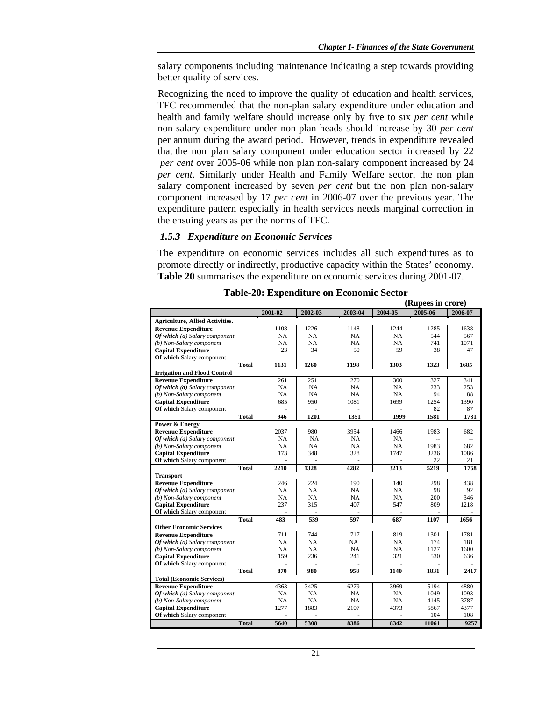salary components including maintenance indicating a step towards providing better quality of services.

Recognizing the need to improve the quality of education and health services, TFC recommended that the non-plan salary expenditure under education and health and family welfare should increase only by five to six *per cent* while non-salary expenditure under non-plan heads should increase by 30 *per cent*  per annum during the award period. However, trends in expenditure revealed that the non plan salary component under education sector increased by 22 *per cent* over 2005-06 while non plan non-salary component increased by 24 *per cent*. Similarly under Health and Family Welfare sector, the non plan salary component increased by seven *per cent* but the non plan non-salary component increased by 17 *per cent* in 2006-07 over the previous year. The expenditure pattern especially in health services needs marginal correction in the ensuing years as per the norms of TFC.

#### *1.5.3 Expenditure on Economic Services*

The expenditure on economic services includes all such expenditures as to promote directly or indirectly, productive capacity within the States' economy. **Table 20** summarises the expenditure on economic services during 2001-07.

|                                        |           |           |           |           | (Rupees in crore) |         |
|----------------------------------------|-----------|-----------|-----------|-----------|-------------------|---------|
|                                        | 2001-02   | 2002-03   | 2003-04   | 2004-05   | 2005-06           | 2006-07 |
| <b>Agriculture, Allied Activities.</b> |           |           |           |           |                   |         |
| <b>Revenue Expenditure</b>             | 1108      | 1226      | 1148      | 1244      | 1285              | 1638    |
| Of which (a) Salary component          | <b>NA</b> | <b>NA</b> | NA        | <b>NA</b> | 544               | 567     |
| (b) Non-Salary component               | <b>NA</b> | <b>NA</b> | NA        | <b>NA</b> | 741               | 1071    |
| <b>Capital Expenditure</b>             | 23        | 34        | 50        | 59        | 38                | 47      |
| Of which Salary component              |           |           |           |           |                   |         |
| <b>Total</b>                           | 1131      | 1260      | 1198      | 1303      | 1323              | 1685    |
| <b>Irrigation and Flood Control</b>    |           |           |           |           |                   |         |
| <b>Revenue Expenditure</b>             | 261       | 251       | 270       | 300       | 327               | 341     |
| Of which (a) Salary component          | <b>NA</b> | NA        | NA        | NA        | 233               | 253     |
| (b) Non-Salary component               | <b>NA</b> | NA        | NA        | <b>NA</b> | 94                | 88      |
| <b>Capital Expenditure</b>             | 685       | 950       | 1081      | 1699      | 1254              | 1390    |
| Of which Salary component              |           |           |           |           | 82                | 87      |
| <b>Total</b>                           | 946       | 1201      | 1351      | 1999      | 1581              | 1731    |
| <b>Power &amp; Energy</b>              |           |           |           |           |                   |         |
| <b>Revenue Expenditure</b>             | 2037      | 980       | 3954      | 1466      | 1983              | 682     |
| Of which (a) Salary component          | <b>NA</b> | <b>NA</b> | <b>NA</b> | <b>NA</b> |                   |         |
| (b) Non-Salary component               | <b>NA</b> | NA        | <b>NA</b> | NA        | 1983              | 682     |
| <b>Capital Expenditure</b>             | 173       | 348       | 328       | 1747      | 3236              | 1086    |
| Of which Salary component              |           |           |           |           | 22                | 21      |
| <b>Total</b>                           | 2210      | 1328      | 4282      | 3213      | 5219              | 1768    |
| <b>Transport</b>                       |           |           |           |           |                   |         |
| <b>Revenue Expenditure</b>             | 246       | 224       | 190       | 140       | 298               | 438     |
| Of which (a) Salary component          | <b>NA</b> | <b>NA</b> | NA        | <b>NA</b> | 98                | 92      |
| (b) Non-Salary component               | <b>NA</b> | <b>NA</b> | <b>NA</b> | <b>NA</b> | 200               | 346     |
| <b>Capital Expenditure</b>             | 237       | 315       | 407       | 547       | 809               | 1218    |
| Of which Salary component              |           |           |           |           |                   |         |
| <b>Total</b>                           | 483       | 539       | 597       | 687       | 1107              | 1656    |
| <b>Other Economic Services</b>         |           |           |           |           |                   |         |
| <b>Revenue Expenditure</b>             | 711       | 744       | 717       | 819       | 1301              | 1781    |
| <b>Of which</b> (a) Salary component   | <b>NA</b> | <b>NA</b> | NA        | NA        | 174               | 181     |
| (b) Non-Salary component               | <b>NA</b> | <b>NA</b> | <b>NA</b> | <b>NA</b> | 1127              | 1600    |
| <b>Capital Expenditure</b>             | 159       | 236       | 241       | 321       | 530               | 636     |
| Of which Salary component              |           |           |           |           |                   |         |
| <b>Total</b>                           | 870       | 980       | 958       | 1140      | 1831              | 2417    |
| <b>Total (Economic Services)</b>       |           |           |           |           |                   |         |
| <b>Revenue Expenditure</b>             | 4363      | 3425      | 6279      | 3969      | 5194              | 4880    |
| Of which (a) Salary component          | <b>NA</b> | <b>NA</b> | NA        | <b>NA</b> | 1049              | 1093    |
| (b) Non-Salary component               | <b>NA</b> | <b>NA</b> | <b>NA</b> | <b>NA</b> | 4145              | 3787    |
| <b>Capital Expenditure</b>             | 1277      | 1883      | 2107      | 4373      | 5867              | 4377    |
| Of which Salary component              |           |           |           |           | 104               | 108     |
| <b>Total</b>                           | 5640      | 5308      | 8386      | 8342      | 11061             | 9257    |

**Table-20: Expenditure on Economic Sector**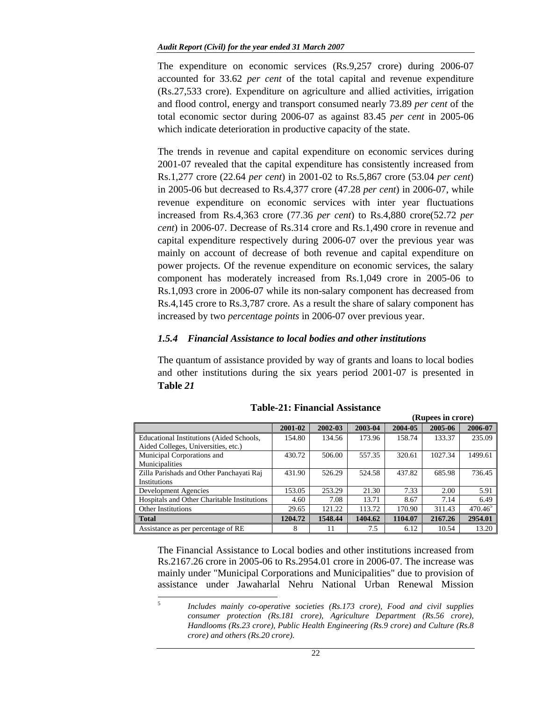The expenditure on economic services (Rs.9,257 crore) during 2006-07 accounted for 33.62 *per cent* of the total capital and revenue expenditure (Rs.27,533 crore). Expenditure on agriculture and allied activities, irrigation and flood control, energy and transport consumed nearly 73.89 *per cent* of the total economic sector during 2006-07 as against 83.45 *per cent* in 2005-06 which indicate deterioration in productive capacity of the state.

The trends in revenue and capital expenditure on economic services during 2001-07 revealed that the capital expenditure has consistently increased from Rs.1,277 crore (22.64 *per cent*) in 2001-02 to Rs.5,867 crore (53.04 *per cent*) in 2005-06 but decreased to Rs.4,377 crore (47.28 *per cent*) in 2006-07, while revenue expenditure on economic services with inter year fluctuations increased from Rs.4,363 crore (77.36 *per cent*) to Rs.4,880 crore(52.72 *per cent*) in 2006-07. Decrease of Rs.314 crore and Rs.1,490 crore in revenue and capital expenditure respectively during 2006-07 over the previous year was mainly on account of decrease of both revenue and capital expenditure on power projects. Of the revenue expenditure on economic services, the salary component has moderately increased from Rs.1,049 crore in 2005-06 to Rs.1,093 crore in 2006-07 while its non-salary component has decreased from Rs.4,145 crore to Rs.3,787 crore. As a result the share of salary component has increased by two *percentage points* in 2006-07 over previous year.

## *1.5.4 Financial Assistance to local bodies and other institutions*

The quantum of assistance provided by way of grants and loans to local bodies and other institutions during the six years period 2001-07 is presented in **Table** *21*

|                                                                                 |         |         |         |         | (Rupees in crore) |                  |
|---------------------------------------------------------------------------------|---------|---------|---------|---------|-------------------|------------------|
|                                                                                 | 2001-02 | 2002-03 | 2003-04 | 2004-05 | 2005-06           | 2006-07          |
| Educational Institutions (Aided Schools,<br>Aided Colleges, Universities, etc.) | 154.80  | 134.56  | 173.96  | 158.74  | 133.37            | 235.09           |
| Municipal Corporations and                                                      | 430.72  | 506.00  | 557.35  | 320.61  | 1027.34           | 1499.61          |
| Municipalities                                                                  |         |         |         |         |                   |                  |
| Zilla Parishads and Other Panchayati Raj                                        | 431.90  | 526.29  | 524.58  | 437.82  | 685.98            | 736.45           |
| <b>Institutions</b>                                                             |         |         |         |         |                   |                  |
| Development Agencies                                                            | 153.05  | 253.29  | 21.30   | 7.33    | 2.00              | 5.91             |
| Hospitals and Other Charitable Institutions                                     | 4.60    | 7.08    | 13.71   | 8.67    | 7.14              | 6.49             |
| <b>Other Institutions</b>                                                       | 29.65   | 121.22  | 113.72  | 170.90  | 311.43            | $470.46^{\circ}$ |
| <b>Total</b>                                                                    | 1204.72 | 1548.44 | 1404.62 | 1104.07 | 2167.26           | 2954.01          |
| Assistance as per percentage of RE                                              | 8       |         | 7.5     | 6.12    | 10.54             | 13.20            |

**Table-21: Financial Assistance** 

The Financial Assistance to Local bodies and other institutions increased from Rs.2167.26 crore in 2005-06 to Rs.2954.01 crore in 2006-07. The increase was mainly under "Municipal Corporations and Municipalities" due to provision of assistance under Jawaharlal Nehru National Urban Renewal Mission

 5 *Includes mainly co-operative societies (Rs.173 crore), Food and civil supplies consumer protection (Rs.181 crore), Agriculture Department (Rs.56 crore), Handlooms (Rs.23 crore), Public Health Engineering (Rs.9 crore) and Culture (Rs.8 crore) and others (Rs.20 crore).*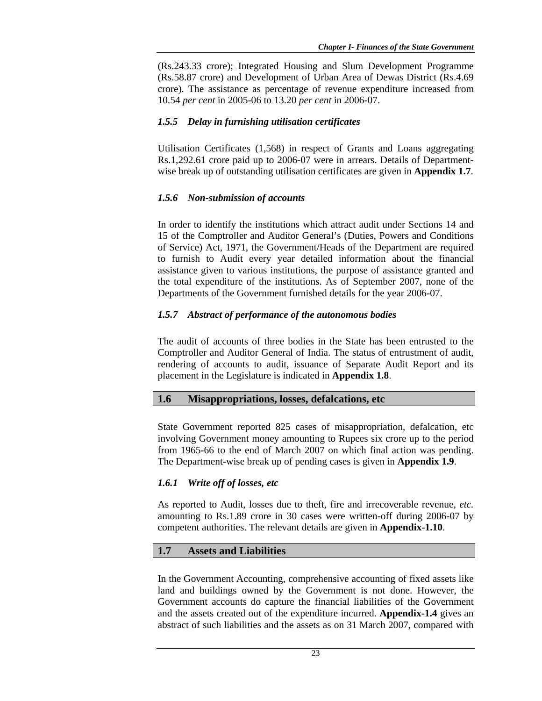(Rs.243.33 crore); Integrated Housing and Slum Development Programme (Rs.58.87 crore) and Development of Urban Area of Dewas District (Rs.4.69 crore). The assistance as percentage of revenue expenditure increased from 10.54 *per cent* in 2005-06 to 13.20 *per cent* in 2006-07.

# *1.5.5 Delay in furnishing utilisation certificates*

Utilisation Certificates (1,568) in respect of Grants and Loans aggregating Rs.1,292.61 crore paid up to 2006-07 were in arrears. Details of Departmentwise break up of outstanding utilisation certificates are given in **Appendix 1.7**.

## *1.5.6 Non-submission of accounts*

In order to identify the institutions which attract audit under Sections 14 and 15 of the Comptroller and Auditor General's (Duties, Powers and Conditions of Service) Act, 1971, the Government/Heads of the Department are required to furnish to Audit every year detailed information about the financial assistance given to various institutions, the purpose of assistance granted and the total expenditure of the institutions. As of September 2007, none of the Departments of the Government furnished details for the year 2006-07.

# *1.5.7 Abstract of performance of the autonomous bodies*

The audit of accounts of three bodies in the State has been entrusted to the Comptroller and Auditor General of India. The status of entrustment of audit, rendering of accounts to audit, issuance of Separate Audit Report and its placement in the Legislature is indicated in **Appendix 1.8**.

# **1.6 Misappropriations, losses, defalcations, etc**

State Government reported 825 cases of misappropriation, defalcation, etc involving Government money amounting to Rupees six crore up to the period from 1965-66 to the end of March 2007 on which final action was pending. The Department-wise break up of pending cases is given in **Appendix 1.9**.

## *1.6.1 Write off of losses, etc*

As reported to Audit, losses due to theft, fire and irrecoverable revenue, *etc.*  amounting to Rs.1.89 crore in 30 cases were written-off during 2006-07 by competent authorities. The relevant details are given in **Appendix-1.10**.

# **1.7 Assets and Liabilities**

In the Government Accounting, comprehensive accounting of fixed assets like land and buildings owned by the Government is not done. However, the Government accounts do capture the financial liabilities of the Government and the assets created out of the expenditure incurred. **Appendix-1.4** gives an abstract of such liabilities and the assets as on 31 March 2007, compared with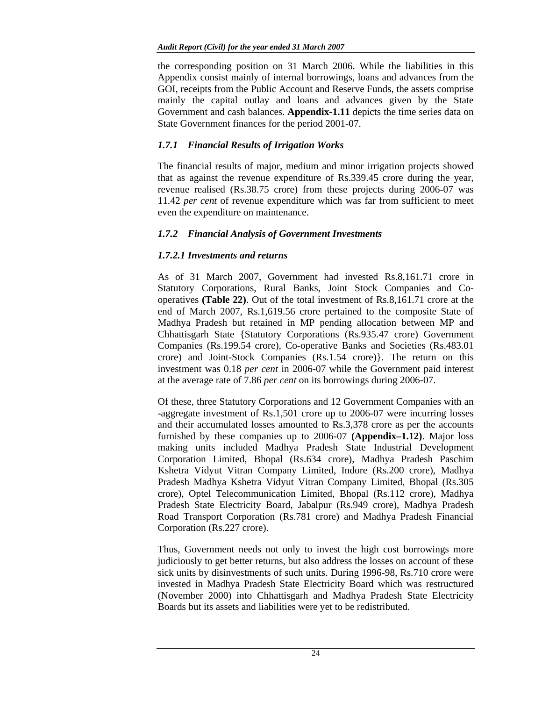the corresponding position on 31 March 2006. While the liabilities in this Appendix consist mainly of internal borrowings, loans and advances from the GOI, receipts from the Public Account and Reserve Funds, the assets comprise mainly the capital outlay and loans and advances given by the State Government and cash balances. **Appendix-1.11** depicts the time series data on State Government finances for the period 2001-07.

# *1.7.1 Financial Results of Irrigation Works*

The financial results of major, medium and minor irrigation projects showed that as against the revenue expenditure of Rs.339.45 crore during the year, revenue realised (Rs.38.75 crore) from these projects during 2006-07 was 11.42 *per cent* of revenue expenditure which was far from sufficient to meet even the expenditure on maintenance.

# *1.7.2 Financial Analysis of Government Investments*

# *1.7.2.1 Investments and returns*

As of 31 March 2007, Government had invested Rs.8,161.71 crore in Statutory Corporations, Rural Banks, Joint Stock Companies and Cooperatives **(Table 22)**. Out of the total investment of Rs.8,161.71 crore at the end of March 2007, Rs.1,619.56 crore pertained to the composite State of Madhya Pradesh but retained in MP pending allocation between MP and Chhattisgarh State {Statutory Corporations (Rs.935.47 crore) Government Companies (Rs.199.54 crore), Co-operative Banks and Societies (Rs.483.01 crore) and Joint-Stock Companies (Rs.1.54 crore)}. The return on this investment was 0.18 *per cent* in 2006-07 while the Government paid interest at the average rate of 7.86 *per cent* on its borrowings during 2006-07.

Of these, three Statutory Corporations and 12 Government Companies with an -aggregate investment of Rs.1,501 crore up to 2006-07 were incurring losses and their accumulated losses amounted to Rs.3,378 crore as per the accounts furnished by these companies up to 2006-07 **(Appendix–1.12)**. Major loss making units included Madhya Pradesh State Industrial Development Corporation Limited, Bhopal (Rs.634 crore), Madhya Pradesh Paschim Kshetra Vidyut Vitran Company Limited, Indore (Rs.200 crore), Madhya Pradesh Madhya Kshetra Vidyut Vitran Company Limited, Bhopal (Rs.305 crore), Optel Telecommunication Limited, Bhopal (Rs.112 crore), Madhya Pradesh State Electricity Board, Jabalpur (Rs.949 crore), Madhya Pradesh Road Transport Corporation (Rs.781 crore) and Madhya Pradesh Financial Corporation (Rs.227 crore).

Thus, Government needs not only to invest the high cost borrowings more judiciously to get better returns, but also address the losses on account of these sick units by disinvestments of such units. During 1996-98, Rs.710 crore were invested in Madhya Pradesh State Electricity Board which was restructured (November 2000) into Chhattisgarh and Madhya Pradesh State Electricity Boards but its assets and liabilities were yet to be redistributed.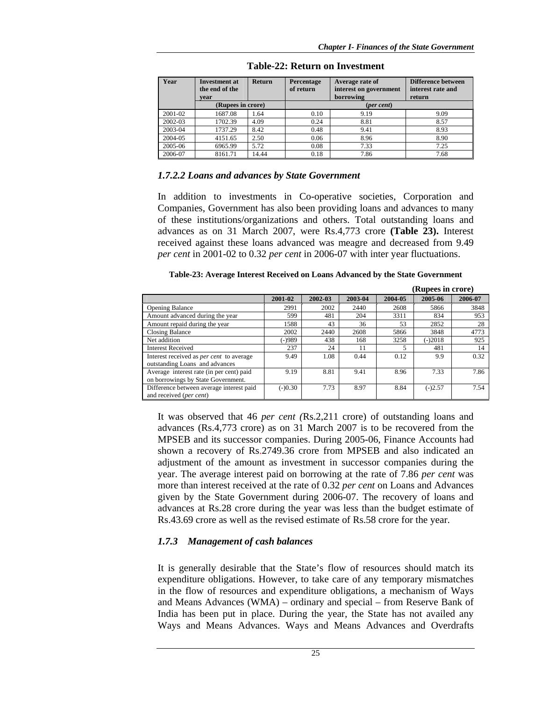| Year    | <b>Investment at</b><br>the end of the<br>vear | Return | Average rate of<br>Percentage<br>of return<br>interest on government<br>borrowing |            | Difference between<br>interest rate and<br>return |
|---------|------------------------------------------------|--------|-----------------------------------------------------------------------------------|------------|---------------------------------------------------|
|         | (Rupees in crore)                              |        |                                                                                   | (per cent) |                                                   |
| 2001-02 | 1687.08                                        | 1.64   | 0.10                                                                              | 9.19       | 9.09                                              |
| 2002-03 | 1702.39                                        | 4.09   | 0.24                                                                              | 8.81       | 8.57                                              |
| 2003-04 | 1737.29                                        | 8.42   | 0.48                                                                              | 9.41       | 8.93                                              |
| 2004-05 | 4151.65                                        | 2.50   | 0.06                                                                              | 8.96       | 8.90                                              |
| 2005-06 | 6965.99                                        | 5.72   | 0.08                                                                              | 7.33       | 7.25                                              |
| 2006-07 | 8161.71                                        | 14.44  | 0.18                                                                              | 7.86       | 7.68                                              |

**Table-22: Return on Investment** 

### *1.7.2.2 Loans and advances by State Government*

In addition to investments in Co-operative societies, Corporation and Companies, Government has also been providing loans and advances to many of these institutions/organizations and others. Total outstanding loans and advances as on 31 March 2007, were Rs.4,773 crore **(Table 23).** Interest received against these loans advanced was meagre and decreased from 9.49 *per cent* in 2001-02 to 0.32 *per cent* in 2006-07 with inter year fluctuations.

| Table-23: Average Interest Received on Loans Advanced by the State Government |  |
|-------------------------------------------------------------------------------|--|
|                                                                               |  |

|                                                                                   |           |         |         |         | (Rupees in crore) |         |
|-----------------------------------------------------------------------------------|-----------|---------|---------|---------|-------------------|---------|
|                                                                                   | 2001-02   | 2002-03 | 2003-04 | 2004-05 | 2005-06           | 2006-07 |
| <b>Opening Balance</b>                                                            | 2991      | 2002    | 2440    | 2608    | 5866              | 3848    |
| Amount advanced during the year                                                   | 599       | 481     | 204     | 3311    | 834               | 953     |
| Amount repaid during the year                                                     | 1588      | 43      | 36      | 53      | 2852              | 28      |
| Closing Balance                                                                   | 2002      | 2440    | 2608    | 5866    | 3848              | 4773    |
| Net addition                                                                      | $-989$    | 438     | 168     | 3258    | $(-)2018$         | 925     |
| <b>Interest Received</b>                                                          | 237       | 24      | 11      |         | 481               | 14      |
| Interest received as <i>per cent</i> to average<br>outstanding Loans and advances | 9.49      | 1.08    | 0.44    | 0.12    | 9.9               | 0.32    |
| Average interest rate (in per cent) paid<br>on borrowings by State Government.    | 9.19      | 8.81    | 9.41    | 8.96    | 7.33              | 7.86    |
| Difference between average interest paid<br>and received ( <i>per cent</i> )      | $(-)0.30$ | 7.73    | 8.97    | 8.84    | $(-)2.57$         | 7.54    |

It was observed that 46 *per cent (*Rs.2,211 crore) of outstanding loans and advances (Rs.4,773 crore) as on 31 March 2007 is to be recovered from the MPSEB and its successor companies. During 2005-06, Finance Accounts had shown a recovery of Rs.2749.36 crore from MPSEB and also indicated an adjustment of the amount as investment in successor companies during the year. The average interest paid on borrowing at the rate of 7.86 *per cent* was more than interest received at the rate of 0.32 *per cent* on Loans and Advances given by the State Government during 2006-07. The recovery of loans and advances at Rs.28 crore during the year was less than the budget estimate of Rs.43.69 crore as well as the revised estimate of Rs.58 crore for the year.

# *1.7.3 Management of cash balances*

It is generally desirable that the State's flow of resources should match its expenditure obligations. However, to take care of any temporary mismatches in the flow of resources and expenditure obligations, a mechanism of Ways and Means Advances (WMA) – ordinary and special – from Reserve Bank of India has been put in place. During the year, the State has not availed any Ways and Means Advances. Ways and Means Advances and Overdrafts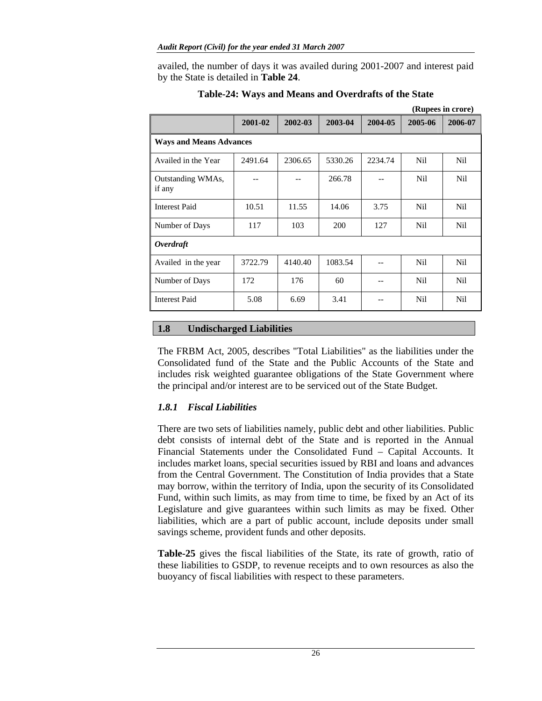availed, the number of days it was availed during 2001-2007 and interest paid by the State is detailed in **Table 24**.

|                                |         |         |         |         |            | (Rupees in crore) |  |  |  |  |
|--------------------------------|---------|---------|---------|---------|------------|-------------------|--|--|--|--|
|                                | 2001-02 | 2002-03 | 2003-04 | 2004-05 | 2005-06    | 2006-07           |  |  |  |  |
| <b>Ways and Means Advances</b> |         |         |         |         |            |                   |  |  |  |  |
| Availed in the Year            | 2491.64 | 2306.65 | 5330.26 | 2234.74 | Nil        | N <sub>il</sub>   |  |  |  |  |
| Outstanding WMAs,<br>if any    |         |         | 266.78  |         | <b>Nil</b> | N <sub>i</sub> l  |  |  |  |  |
| <b>Interest Paid</b>           | 10.51   | 11.55   | 14.06   | 3.75    | Nil        | Nil               |  |  |  |  |
| Number of Days                 | 117     | 103     | 200     | 127     | Nil        | N <sub>il</sub>   |  |  |  |  |
| Overdraft                      |         |         |         |         |            |                   |  |  |  |  |
| Availed in the year            | 3722.79 | 4140.40 | 1083.54 |         | Nil        | Nil.              |  |  |  |  |
| Number of Days                 | 172     | 176     | 60      |         | Nil        | Nil               |  |  |  |  |
| <b>Interest Paid</b>           | 5.08    | 6.69    | 3.41    |         | Nil        | Nil               |  |  |  |  |

|  |  | Table-24: Ways and Means and Overdrafts of the State |  |
|--|--|------------------------------------------------------|--|
|  |  |                                                      |  |

## **1.8 Undischarged Liabilities**

The FRBM Act, 2005, describes "Total Liabilities" as the liabilities under the Consolidated fund of the State and the Public Accounts of the State and includes risk weighted guarantee obligations of the State Government where the principal and/or interest are to be serviced out of the State Budget.

# *1.8.1 Fiscal Liabilities*

There are two sets of liabilities namely, public debt and other liabilities. Public debt consists of internal debt of the State and is reported in the Annual Financial Statements under the Consolidated Fund – Capital Accounts. It includes market loans, special securities issued by RBI and loans and advances from the Central Government. The Constitution of India provides that a State may borrow, within the territory of India, upon the security of its Consolidated Fund, within such limits, as may from time to time, be fixed by an Act of its Legislature and give guarantees within such limits as may be fixed. Other liabilities, which are a part of public account, include deposits under small savings scheme, provident funds and other deposits.

**Table-25** gives the fiscal liabilities of the State, its rate of growth, ratio of these liabilities to GSDP, to revenue receipts and to own resources as also the buoyancy of fiscal liabilities with respect to these parameters.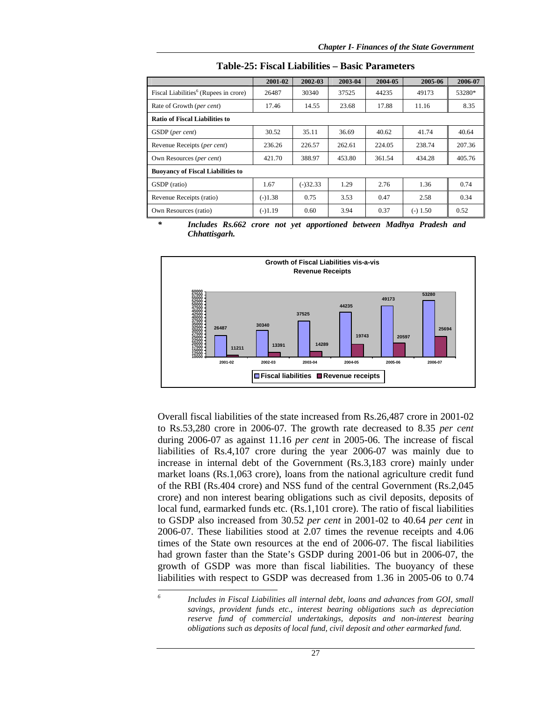|                                                   | 2001-02   | 2002-03    | 2003-04 | 2004-05 | 2005-06    | 2006-07 |
|---------------------------------------------------|-----------|------------|---------|---------|------------|---------|
| Fiscal Liabilities <sup>6</sup> (Rupees in crore) | 26487     | 30340      | 37525   | 44235   | 49173      | 53280*  |
| Rate of Growth (per cent)                         | 17.46     | 14.55      | 23.68   | 17.88   | 11.16      | 8.35    |
| Ratio of Fiscal Liabilities to                    |           |            |         |         |            |         |
| GSDP (per cent)                                   | 30.52     | 35.11      | 36.69   | 40.62   | 41.74      | 40.64   |
| Revenue Receipts (per cent)                       | 236.26    | 226.57     | 262.61  | 224.05  | 238.74     | 207.36  |
| Own Resources (per cent)                          | 421.70    | 388.97     | 453.80  | 361.54  | 434.28     | 405.76  |
| <b>Buoyancy of Fiscal Liabilities to</b>          |           |            |         |         |            |         |
| GSDP (ratio)                                      | 1.67      | $(-)32.33$ | 1.29    | 2.76    | 1.36       | 0.74    |
| Revenue Receipts (ratio)                          | $(-)1.38$ | 0.75       | 3.53    | 0.47    | 2.58       | 0.34    |
| Own Resources (ratio)                             | $(-)1.19$ | 0.60       | 3.94    | 0.37    | $(-) 1.50$ | 0.52    |

**Table-25: Fiscal Liabilities – Basic Parameters** 

*\* Includes Rs.662 crore not yet apportioned between Madhya Pradesh and Chhattisgarh.* 



Overall fiscal liabilities of the state increased from Rs.26,487 crore in 2001-02 to Rs.53,280 crore in 2006-07. The growth rate decreased to 8.35 *per cent* during 2006-07 as against 11.16 *per cent* in 2005-06. The increase of fiscal liabilities of Rs.4,107 crore during the year 2006-07 was mainly due to increase in internal debt of the Government (Rs.3,183 crore) mainly under market loans (Rs.1,063 crore), loans from the national agriculture credit fund of the RBI (Rs.404 crore) and NSS fund of the central Government (Rs.2,045 crore) and non interest bearing obligations such as civil deposits, deposits of local fund, earmarked funds etc. (Rs.1,101 crore). The ratio of fiscal liabilities to GSDP also increased from 30.52 *per cent* in 2001-02 to 40.64 *per cent* in 2006-07. These liabilities stood at 2.07 times the revenue receipts and 4.06 times of the State own resources at the end of 2006-07. The fiscal liabilities had grown faster than the State's GSDP during 2001-06 but in 2006-07, the growth of GSDP was more than fiscal liabilities. The buoyancy of these liabilities with respect to GSDP was decreased from 1.36 in 2005-06 to 0.74

 *6 Includes in Fiscal Liabilities all internal debt, loans and advances from GOI, small savings, provident funds etc., interest bearing obligations such as depreciation reserve fund of commercial undertakings, deposits and non-interest bearing obligations such as deposits of local fund, civil deposit and other earmarked fund.*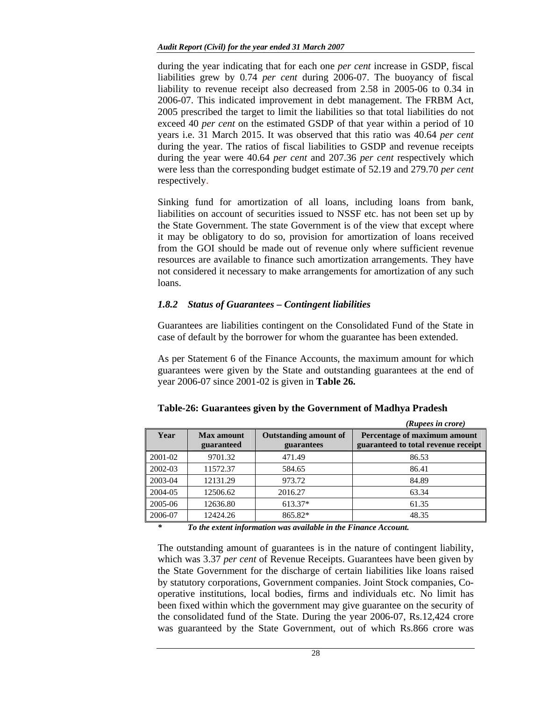during the year indicating that for each one *per cent* increase in GSDP, fiscal liabilities grew by 0.74 *per cent* during 2006-07. The buoyancy of fiscal liability to revenue receipt also decreased from 2.58 in 2005-06 to 0.34 in 2006-07. This indicated improvement in debt management. The FRBM Act, 2005 prescribed the target to limit the liabilities so that total liabilities do not exceed 40 *per cent* on the estimated GSDP of that year within a period of 10 years i.e. 31 March 2015. It was observed that this ratio was 40.64 *per cent* during the year. The ratios of fiscal liabilities to GSDP and revenue receipts during the year were 40.64 *per cent* and 207.36 *per cent* respectively which were less than the corresponding budget estimate of 52.19 and 279.70 *per cent*  respectively.

Sinking fund for amortization of all loans, including loans from bank, liabilities on account of securities issued to NSSF etc. has not been set up by the State Government. The state Government is of the view that except where it may be obligatory to do so, provision for amortization of loans received from the GOI should be made out of revenue only where sufficient revenue resources are available to finance such amortization arrangements. They have not considered it necessary to make arrangements for amortization of any such loans.

## *1.8.2 Status of Guarantees – Contingent liabilities*

Guarantees are liabilities contingent on the Consolidated Fund of the State in case of default by the borrower for whom the guarantee has been extended.

As per Statement 6 of the Finance Accounts, the maximum amount for which guarantees were given by the State and outstanding guarantees at the end of year 2006-07 since 2001-02 is given in **Table 26.** 

|         |                          |                                            | (Rupees in crore)                                                   |
|---------|--------------------------|--------------------------------------------|---------------------------------------------------------------------|
| Year    | Max amount<br>guaranteed | <b>Outstanding amount of</b><br>guarantees | Percentage of maximum amount<br>guaranteed to total revenue receipt |
| 2001-02 | 9701.32                  | 471.49                                     | 86.53                                                               |
| 2002-03 | 11572.37                 | 584.65                                     | 86.41                                                               |
| 2003-04 | 12131.29                 | 973.72                                     | 84.89                                                               |
| 2004-05 | 12506.62                 | 2016.27                                    | 63.34                                                               |
| 2005-06 | 12636.80                 | 613.37*                                    | 61.35                                                               |
| 2006-07 | 12424.26                 | 865.82*                                    | 48.35                                                               |

## **Table-26: Guarantees given by the Government of Madhya Pradesh**

*\* To the extent information was available in the Finance Account.* 

The outstanding amount of guarantees is in the nature of contingent liability, which was 3.37 *per cent* of Revenue Receipts. Guarantees have been given by the State Government for the discharge of certain liabilities like loans raised by statutory corporations, Government companies. Joint Stock companies, Cooperative institutions, local bodies, firms and individuals etc. No limit has been fixed within which the government may give guarantee on the security of the consolidated fund of the State. During the year 2006-07, Rs.12,424 crore was guaranteed by the State Government, out of which Rs.866 crore was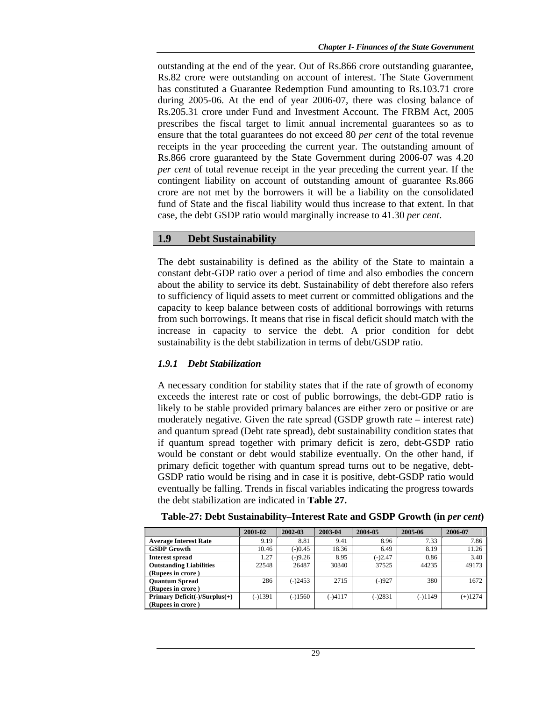outstanding at the end of the year. Out of Rs.866 crore outstanding guarantee, Rs.82 crore were outstanding on account of interest. The State Government has constituted a Guarantee Redemption Fund amounting to Rs.103.71 crore during 2005-06. At the end of year 2006-07, there was closing balance of Rs.205.31 crore under Fund and Investment Account. The FRBM Act, 2005 prescribes the fiscal target to limit annual incremental guarantees so as to ensure that the total guarantees do not exceed 80 *per cent* of the total revenue receipts in the year proceeding the current year. The outstanding amount of Rs.866 crore guaranteed by the State Government during 2006-07 was 4.20 *per cent* of total revenue receipt in the year preceding the current year. If the contingent liability on account of outstanding amount of guarantee Rs.866 crore are not met by the borrowers it will be a liability on the consolidated fund of State and the fiscal liability would thus increase to that extent. In that case, the debt GSDP ratio would marginally increase to 41.30 *per cent*.

## **1.9 Debt Sustainability**

The debt sustainability is defined as the ability of the State to maintain a constant debt-GDP ratio over a period of time and also embodies the concern about the ability to service its debt. Sustainability of debt therefore also refers to sufficiency of liquid assets to meet current or committed obligations and the capacity to keep balance between costs of additional borrowings with returns from such borrowings. It means that rise in fiscal deficit should match with the increase in capacity to service the debt. A prior condition for debt sustainability is the debt stabilization in terms of debt/GSDP ratio.

## *1.9.1 Debt Stabilization*

A necessary condition for stability states that if the rate of growth of economy exceeds the interest rate or cost of public borrowings, the debt-GDP ratio is likely to be stable provided primary balances are either zero or positive or are moderately negative. Given the rate spread (GSDP growth rate – interest rate) and quantum spread (Debt rate spread), debt sustainability condition states that if quantum spread together with primary deficit is zero, debt-GSDP ratio would be constant or debt would stabilize eventually. On the other hand, if primary deficit together with quantum spread turns out to be negative, debt-GSDP ratio would be rising and in case it is positive, debt-GSDP ratio would eventually be falling. Trends in fiscal variables indicating the progress towards the debt stabilization are indicated in **Table 27.** 

|                                | 2001-02 | 2002-03   | 2003-04   | 2004-05   | 2005-06   | 2006-07   |
|--------------------------------|---------|-----------|-----------|-----------|-----------|-----------|
| <b>Average Interest Rate</b>   | 9.19    | 8.81      | 9.41      | 8.96      | 7.33      | 7.86      |
| <b>GSDP Growth</b>             | 10.46   | $(-)0.45$ | 18.36     | 6.49      | 8.19      | 11.26     |
| Interest spread                | 1.27    | $(-)9.26$ | 8.95      | $(-)2.47$ | 0.86      | 3.40      |
| <b>Outstanding Liabilities</b> | 22548   | 26487     | 30340     | 37525     | 44235     | 49173     |
| (Rupees in crore)              |         |           |           |           |           |           |
| <b>Quantum Spread</b>          | 286     | $(-)2453$ | 2715      | $(-)927$  | 380       | 1672      |
| (Rupees in crore)              |         |           |           |           |           |           |
| Primary Deficit(-)/Surplus(+)  | (-)1391 | $(-)1560$ | $(-)4117$ | $(-)2831$ | $(-)1149$ | $(+)1274$ |
| (Rupees in crore)              |         |           |           |           |           |           |

**Table-27: Debt Sustainability–Interest Rate and GSDP Growth (in** *per cent***)**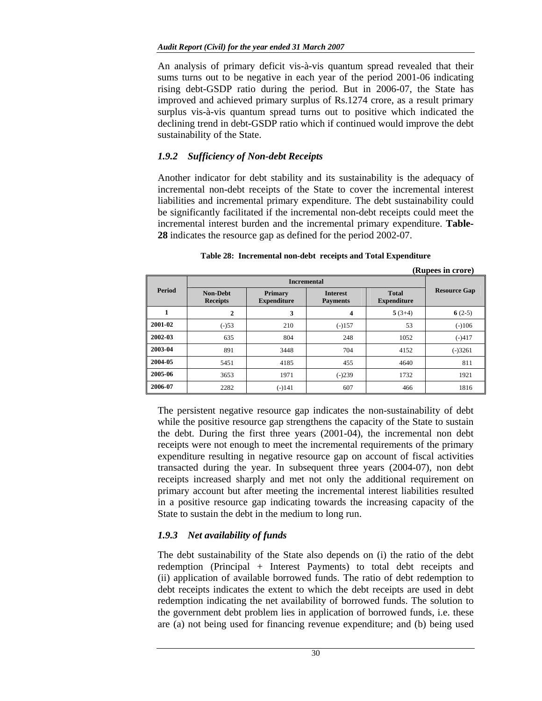An analysis of primary deficit vis-à-vis quantum spread revealed that their sums turns out to be negative in each year of the period 2001-06 indicating rising debt-GSDP ratio during the period. But in 2006-07, the State has improved and achieved primary surplus of Rs.1274 crore, as a result primary surplus vis-à-vis quantum spread turns out to positive which indicated the declining trend in debt-GSDP ratio which if continued would improve the debt sustainability of the State.

# *1.9.2 Sufficiency of Non-debt Receipts*

Another indicator for debt stability and its sustainability is the adequacy of incremental non-debt receipts of the State to cover the incremental interest liabilities and incremental primary expenditure. The debt sustainability could be significantly facilitated if the incremental non-debt receipts could meet the incremental interest burden and the incremental primary expenditure. **Table-28** indicates the resource gap as defined for the period 2002-07.

|         |                                    | (2.4)                                |                                    |                                    |                     |
|---------|------------------------------------|--------------------------------------|------------------------------------|------------------------------------|---------------------|
| Period  | <b>Non-Debt</b><br><b>Receipts</b> | <b>Primary</b><br><b>Expenditure</b> | <b>Interest</b><br><b>Payments</b> | <b>Total</b><br><b>Expenditure</b> | <b>Resource Gap</b> |
| 1       | $\overline{2}$                     | 3                                    | 4                                  | $5(3+4)$                           | $6(2-5)$            |
| 2001-02 | $(-)53$                            | 210                                  | $(-)157$                           | 53                                 | $(-)106$            |
| 2002-03 | 635                                | 804                                  | 248                                | 1052                               | $(-)417$            |
| 2003-04 | 891                                | 3448                                 | 704                                | 4152                               | $(-)3261$           |
| 2004-05 | 5451                               | 4185                                 | 455                                | 4640                               | 811                 |
| 2005-06 | 3653                               | 1971                                 | $(-)239$                           | 1732                               | 1921                |
| 2006-07 | 2282                               | $(-)141$                             | 607                                | 466                                | 1816                |

**Table 28: Incremental non-debt receipts and Total Expenditure** 

**(Rupees in crore)** 

The persistent negative resource gap indicates the non-sustainability of debt while the positive resource gap strengthens the capacity of the State to sustain the debt. During the first three years (2001-04), the incremental non debt receipts were not enough to meet the incremental requirements of the primary expenditure resulting in negative resource gap on account of fiscal activities transacted during the year. In subsequent three years (2004-07), non debt receipts increased sharply and met not only the additional requirement on primary account but after meeting the incremental interest liabilities resulted in a positive resource gap indicating towards the increasing capacity of the State to sustain the debt in the medium to long run.

# *1.9.3 Net availability of funds*

The debt sustainability of the State also depends on (i) the ratio of the debt redemption (Principal + Interest Payments) to total debt receipts and (ii) application of available borrowed funds. The ratio of debt redemption to debt receipts indicates the extent to which the debt receipts are used in debt redemption indicating the net availability of borrowed funds. The solution to the government debt problem lies in application of borrowed funds, i.e. these are (a) not being used for financing revenue expenditure; and (b) being used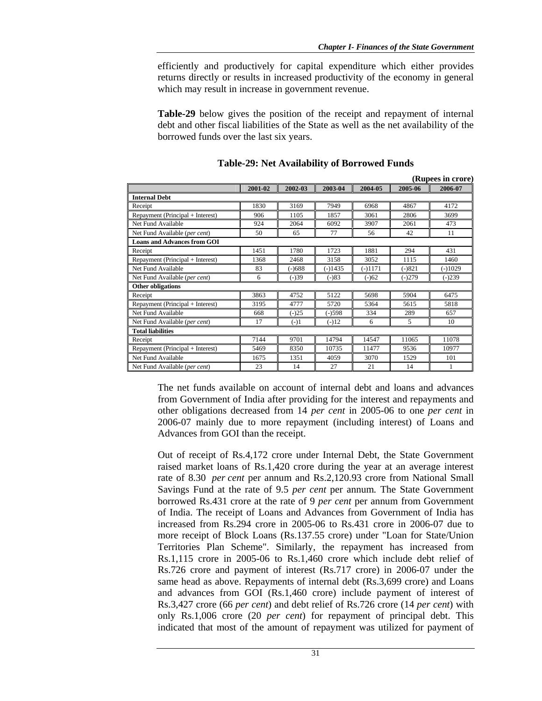efficiently and productively for capital expenditure which either provides returns directly or results in increased productivity of the economy in general which may result in increase in government revenue.

**Table-29** below gives the position of the receipt and repayment of internal debt and other fiscal liabilities of the State as well as the net availability of the borrowed funds over the last six years.

|                                    |         |          |           |           | (Rupees in crore) |           |  |  |
|------------------------------------|---------|----------|-----------|-----------|-------------------|-----------|--|--|
|                                    | 2001-02 | 2002-03  | 2003-04   | 2004-05   | 2005-06           | 2006-07   |  |  |
| <b>Internal Debt</b>               |         |          |           |           |                   |           |  |  |
| Receipt                            | 1830    | 3169     | 7949      | 6968      | 4867              | 4172      |  |  |
| Repayment (Principal + Interest)   | 906     | 1105     | 1857      | 3061      | 2806              | 3699      |  |  |
| Net Fund Available                 | 924     | 2064     | 6092      | 3907      | 2061              | 473       |  |  |
| Net Fund Available (per cent)      | 50      | 65       | 77        | 56        | 42                | 11        |  |  |
| <b>Loans and Advances from GOI</b> |         |          |           |           |                   |           |  |  |
| Receipt                            | 1451    | 1780     | 1723      | 1881      | 294               | 431       |  |  |
| Repayment (Principal + Interest)   | 1368    | 2468     | 3158      | 3052      | 1115              | 1460      |  |  |
| Net Fund Available                 | 83      | $(-)688$ | $(-)1435$ | $(-)1171$ | $(-)821$          | $(-1029)$ |  |  |
| Net Fund Available (per cent)      | 6       | $(-)39$  | $(-)83$   | $(-)62$   | $(-)279$          | $(-)239$  |  |  |
| Other obligations                  |         |          |           |           |                   |           |  |  |
| Receipt                            | 3863    | 4752     | 5122      | 5698      | 5904              | 6475      |  |  |
| Repayment (Principal + Interest)   | 3195    | 4777     | 5720      | 5364      | 5615              | 5818      |  |  |
| Net Fund Available                 | 668     | $(-)25$  | $(-)598$  | 334       | 289               | 657       |  |  |
| Net Fund Available (per cent)      | 17      | $(-)1$   | $(-)12$   | 6         | 5                 | 10        |  |  |
| <b>Total liabilities</b>           |         |          |           |           |                   |           |  |  |
| Receipt                            | 7144    | 9701     | 14794     | 14547     | 11065             | 11078     |  |  |
| Repayment (Principal + Interest)   | 5469    | 8350     | 10735     | 11477     | 9536              | 10977     |  |  |
| Net Fund Available                 | 1675    | 1351     | 4059      | 3070      | 1529              | 101       |  |  |
| Net Fund Available (per cent)      | 23      | 14       | 27        | 21        | 14                | 1         |  |  |

**Table-29: Net Availability of Borrowed Funds** 

The net funds available on account of internal debt and loans and advances from Government of India after providing for the interest and repayments and other obligations decreased from 14 *per cent* in 2005-06 to one *per cent* in 2006-07 mainly due to more repayment (including interest) of Loans and Advances from GOI than the receipt.

Out of receipt of Rs.4,172 crore under Internal Debt, the State Government raised market loans of Rs.1,420 crore during the year at an average interest rate of 8.30 *per cent* per annum and Rs.2,120.93 crore from National Small Savings Fund at the rate of 9.5 *per cent* per annum*.* The State Government borrowed Rs.431 crore at the rate of 9 *per cent* per annum from Government of India. The receipt of Loans and Advances from Government of India has increased from Rs.294 crore in 2005-06 to Rs.431 crore in 2006-07 due to more receipt of Block Loans (Rs.137.55 crore) under "Loan for State/Union Territories Plan Scheme". Similarly, the repayment has increased from Rs.1,115 crore in 2005-06 to Rs.1,460 crore which include debt relief of Rs.726 crore and payment of interest (Rs.717 crore) in 2006-07 under the same head as above. Repayments of internal debt (Rs.3,699 crore) and Loans and advances from GOI (Rs.1,460 crore) include payment of interest of Rs.3,427 crore (66 *per cent*) and debt relief of Rs.726 crore (14 *per cent*) with only Rs.1,006 crore (20 *per cent*) for repayment of principal debt. This indicated that most of the amount of repayment was utilized for payment of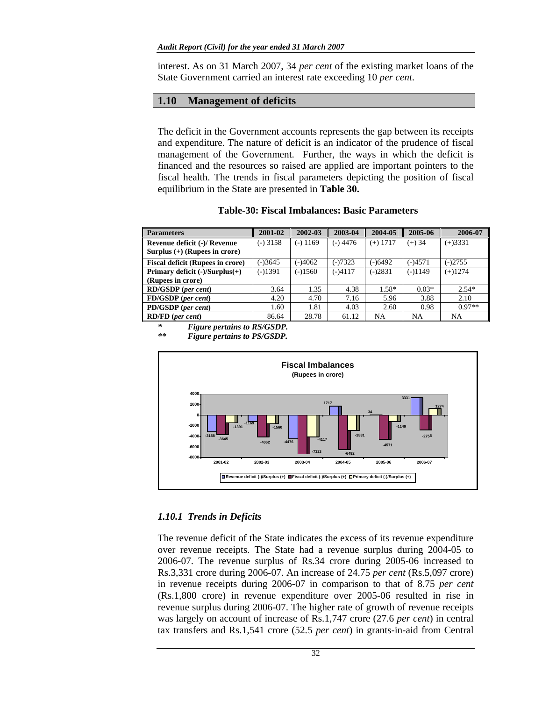interest. As on 31 March 2007, 34 *per cent* of the existing market loans of the State Government carried an interest rate exceeding 10 *per cent*.

## **1.10 Management of deficits**

The deficit in the Government accounts represents the gap between its receipts and expenditure. The nature of deficit is an indicator of the prudence of fiscal management of the Government. Further, the ways in which the deficit is financed and the resources so raised are applied are important pointers to the fiscal health. The trends in fiscal parameters depicting the position of fiscal equilibrium in the State are presented in **Table 30.** 

## **Table-30: Fiscal Imbalances: Basic Parameters**

| <b>Parameters</b>                                               | 2001-02    | 2002-03    | 2003-04   | 2004-05    | 2005-06   | 2006-07   |
|-----------------------------------------------------------------|------------|------------|-----------|------------|-----------|-----------|
| Revenue deficit (-)/ Revenue<br>Surplus $(+)$ (Rupees in crore) | $(-)$ 3158 | $(-) 1169$ | $(-)4476$ | $(+)$ 1717 | $(+) 34$  | $(+)3331$ |
| <b>Fiscal deficit (Rupees in crore)</b>                         | $(-)3645$  | $(-)4062$  | (-)7323   | (-)6492    | (-)4571   | $(-)2755$ |
| Primary deficit $(-)/\text{Surplus}(+)$                         | $(-)1391$  | $(-)1560$  | $(-)4117$ | $(-)2831$  | $(-)1149$ | $(+)1274$ |
| (Rupees in crore)                                               |            |            |           |            |           |           |
| <b>RD/GSDP</b> (per cent)                                       | 3.64       | 1.35       | 4.38      | $1.58*$    | $0.03*$   | $2.54*$   |
| FD/GSDP (per cent)                                              | 4.20       | 4.70       | 7.16      | 5.96       | 3.88      | 2.10      |
| PD/GSDP (per cent)                                              | 1.60       | 1.81       | 4.03      | 2.60       | 0.98      | $0.97**$  |
| <b>RD/FD</b> (per cent)                                         | 86.64      | 28.78      | 61.12     | <b>NA</b>  | <b>NA</b> | NA        |

*Figure pertains to RS/GSDP.* 

*\*\* Figure pertains to PS/GSDP.* 



# *1.10.1 Trends in Deficits*

The revenue deficit of the State indicates the excess of its revenue expenditure over revenue receipts. The State had a revenue surplus during 2004-05 to 2006-07. The revenue surplus of Rs.34 crore during 2005-06 increased to Rs.3,331 crore during 2006-07. An increase of 24.75 *per cent* (Rs.5,097 crore) in revenue receipts during 2006-07 in comparison to that of 8.75 *per cent*  (Rs.1,800 crore) in revenue expenditure over 2005-06 resulted in rise in revenue surplus during 2006-07. The higher rate of growth of revenue receipts was largely on account of increase of Rs.1,747 crore (27.6 *per cent*) in central tax transfers and Rs.1,541 crore (52.5 *per cent*) in grants-in-aid from Central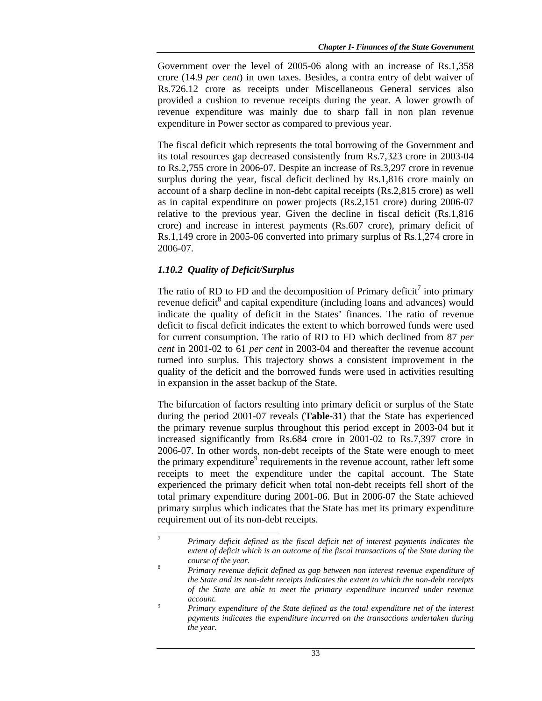Government over the level of 2005-06 along with an increase of Rs.1,358 crore (14.9 *per cent*) in own taxes. Besides, a contra entry of debt waiver of Rs.726.12 crore as receipts under Miscellaneous General services also provided a cushion to revenue receipts during the year. A lower growth of revenue expenditure was mainly due to sharp fall in non plan revenue expenditure in Power sector as compared to previous year.

The fiscal deficit which represents the total borrowing of the Government and its total resources gap decreased consistently from Rs.7,323 crore in 2003-04 to Rs.2,755 crore in 2006-07. Despite an increase of Rs.3,297 crore in revenue surplus during the year, fiscal deficit declined by Rs.1,816 crore mainly on account of a sharp decline in non-debt capital receipts (Rs.2,815 crore) as well as in capital expenditure on power projects (Rs.2,151 crore) during 2006-07 relative to the previous year. Given the decline in fiscal deficit (Rs.1,816 crore) and increase in interest payments (Rs.607 crore), primary deficit of Rs.1,149 crore in 2005-06 converted into primary surplus of Rs.1,274 crore in 2006-07.

# *1.10.2 Quality of Deficit/Surplus*

The ratio of RD to FD and the decomposition of Primary deficit<sup>7</sup> into primary revenue deficit $^8$  and capital expenditure (including loans and advances) would indicate the quality of deficit in the States' finances. The ratio of revenue deficit to fiscal deficit indicates the extent to which borrowed funds were used for current consumption. The ratio of RD to FD which declined from 87 *per cent* in 2001-02 to 61 *per cent* in 2003-04 and thereafter the revenue account turned into surplus. This trajectory shows a consistent improvement in the quality of the deficit and the borrowed funds were used in activities resulting in expansion in the asset backup of the State.

The bifurcation of factors resulting into primary deficit or surplus of the State during the period 2001-07 reveals (**Table-31**) that the State has experienced the primary revenue surplus throughout this period except in 2003-04 but it increased significantly from Rs.684 crore in 2001-02 to Rs.7,397 crore in 2006-07. In other words, non-debt receipts of the State were enough to meet the primary expenditure<sup>9</sup> requirements in the revenue account, rather left some receipts to meet the expenditure under the capital account. The State experienced the primary deficit when total non-debt receipts fell short of the total primary expenditure during 2001-06. But in 2006-07 the State achieved primary surplus which indicates that the State has met its primary expenditure requirement out of its non-debt receipts.

 $\overline{a}$ 7 *Primary deficit defined as the fiscal deficit net of interest payments indicates the extent of deficit which is an outcome of the fiscal transactions of the State during the course of the year.* <sup>8</sup>

*Primary revenue deficit defined as gap between non interest revenue expenditure of the State and its non-debt receipts indicates the extent to which the non-debt receipts of the State are able to meet the primary expenditure incurred under revenue*   $account.$ 

*Primary expenditure of the State defined as the total expenditure net of the interest payments indicates the expenditure incurred on the transactions undertaken during the year.*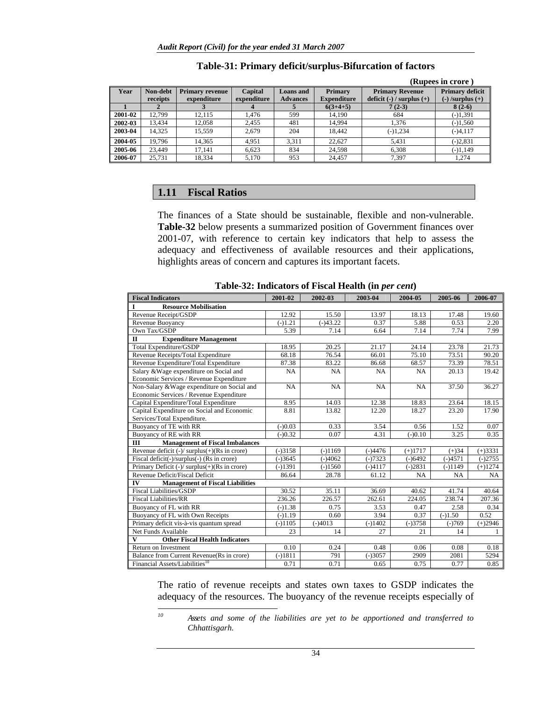|         |                      |                                       |                        |                                     |                               | (Rupees in crore)                                       |                                                |  |  |
|---------|----------------------|---------------------------------------|------------------------|-------------------------------------|-------------------------------|---------------------------------------------------------|------------------------------------------------|--|--|
| Year    | Non-debt<br>receipts | <b>Primary revenue</b><br>expenditure | Capital<br>expenditure | <b>Loans</b> and<br><b>Advances</b> | Primary<br><b>Expenditure</b> | <b>Primary Revenue</b><br>deficit $(-)$ / surplus $(+)$ | <b>Primary deficit</b><br>$(-)$ /surplus $(+)$ |  |  |
|         |                      |                                       | 4                      |                                     | $6(3+4+5)$                    | $7(2-3)$                                                | $8(2-6)$                                       |  |  |
| 2001-02 | 12.799               | 12.115                                | 1.476                  | 599                                 | 14.190                        | 684                                                     | $(-)1,391$                                     |  |  |
| 2002-03 | 13.434               | 12.058                                | 2.455                  | 481                                 | 14.994                        | 1.376                                                   | $(-)1,560$                                     |  |  |
| 2003-04 | 14.325               | 15.559                                | 2.679                  | 204                                 | 18.442                        | $(-)1,234$                                              | $(-)4,117$                                     |  |  |
| 2004-05 | 19.796               | 14.365                                | 4.951                  | 3.311                               | 22.627                        | 5.431                                                   | $(-)2,831$                                     |  |  |
| 2005-06 | 23,449               | 17.141                                | 6.623                  | 834                                 | 24,598                        | 6.308                                                   | $(-)1,149$                                     |  |  |
| 2006-07 | 25,731               | 18.334                                | 5.170                  | 953                                 | 24.457                        | 7.397                                                   | 1.274                                          |  |  |

#### **Table-31: Primary deficit/surplus-Bifurcation of factors**

## **1.11 Fiscal Ratios**

The finances of a State should be sustainable, flexible and non-vulnerable. **Table-32** below presents a summarized position of Government finances over 2001-07, with reference to certain key indicators that help to assess the adequacy and effectiveness of available resources and their applications, highlights areas of concern and captures its important facets.

| <b>Fiscal Indicators</b>                              | 2001-02   | 2002-03    | 2003-04   | 2004-05   | 2005-06   | 2006-07   |
|-------------------------------------------------------|-----------|------------|-----------|-----------|-----------|-----------|
| I<br><b>Resource Mobilisation</b>                     |           |            |           |           |           |           |
| Revenue Receipt/GSDP                                  | 12.92     | 15.50      | 13.97     | 18.13     | 17.48     | 19.60     |
| Revenue Buoyancy                                      | $(-)1.21$ | $(-)43.22$ | 0.37      | 5.88      | 0.53      | 2.20      |
| Own Tax/GSDP                                          | 5.39      | 7.14       | 6.64      | 7.14      | 7.74      | 7.99      |
| $\mathbf{I}$<br><b>Expenditure Management</b>         |           |            |           |           |           |           |
| Total Expenditure/GSDP                                | 18.95     | 20.25      | 21.17     | 24.14     | 23.78     | 21.73     |
| Revenue Receipts/Total Expenditure                    | 68.18     | 76.54      | 66.01     | 75.10     | 73.51     | 90.20     |
| Revenue Expenditure/Total Expenditure                 | 87.38     | 83.22      | 86.68     | 68.57     | 73.39     | 78.51     |
| Salary & Wage expenditure on Social and               | NA        | NA         | NA        | NA        | 20.13     | 19.42     |
| Economic Services / Revenue Expenditure               |           |            |           |           |           |           |
| Non-Salary & Wage expenditure on Social and           | NA        | NA         | NA        | NA        | 37.50     | 36.27     |
| Economic Services / Revenue Expenditure               |           |            |           |           |           |           |
| Capital Expenditure/Total Expenditure                 | 8.95      | 14.03      | 12.38     | 18.83     | 23.64     | 18.15     |
| Capital Expenditure on Social and Economic            | 8.81      | 13.82      | 12.20     | 18.27     | 23.20     | 17.90     |
| Services/Total Expenditure.                           |           |            |           |           |           |           |
| Buoyancy of TE with RR                                | $(-)0.03$ | 0.33       | 3.54      | 0.56      | 1.52      | 0.07      |
| Buoyancy of RE with RR                                | $(-)0.32$ | 0.07       | 4.31      | $(-)0.10$ | 3.25      | 0.35      |
| III<br><b>Management of Fiscal Imbalances</b>         |           |            |           |           |           |           |
| Revenue deficit $(-)/$ surplus $(+)$ (Rs in crore)    | $(-)3158$ | $(-)1169$  | $(-)4476$ | $(+)1717$ | $(+)34$   | $(+)3331$ |
| Fiscal deficit(-)/surplus(-) (Rs in crore)            | $(-)3645$ | $(-)4062$  | $(-)7323$ | $(-)6492$ | $(-)4571$ | $(-)2755$ |
| Primary Deficit $(-)/$ surplus $(+)$ (Rs in crore)    | $(-)1391$ | $(-)1560$  | $(-)4117$ | $(-)2831$ | $(-)1149$ | $(+)1274$ |
| Revenue Deficit/Fiscal Deficit                        | 86.64     | 28.78      | 61.12     | NA        | NA        | NA        |
| IV<br><b>Management of Fiscal Liabilities</b>         |           |            |           |           |           |           |
| <b>Fiscal Liabilities/GSDP</b>                        | 30.52     | 35.11      | 36.69     | 40.62     | 41.74     | 40.64     |
| <b>Fiscal Liabilities/RR</b>                          | 236.26    | 226.57     | 262.61    | 224.05    | 238.74    | 207.36    |
| Buoyancy of FL with RR                                | $(-)1.38$ | 0.75       | 3.53      | 0.47      | 2.58      | 0.34      |
| Buoyancy of FL with Own Receipts                      | $(-)1.19$ | 0.60       | 3.94      | 0.37      | $(-)1.50$ | 0.52      |
| Primary deficit vis-à-vis quantum spread              | $(-)1105$ | $(-)4013$  | $(-)1402$ | $(-)3758$ | $(-)769$  | $(+)2946$ |
| Net Funds Available                                   | 23        | 14         | 27        | 21        | 14        | 1         |
| $\mathbf{V}$<br><b>Other Fiscal Health Indicators</b> |           |            |           |           |           |           |
| Return on Investment                                  | 0.10      | 0.24       | 0.48      | 0.06      | 0.08      | 0.18      |
| Balance from Current Revenue(Rs in crore)             | $(-)1811$ | 791        | $(-)3057$ | 2909      | 2081      | 5294      |
| Financial Assets/Liabilities <sup>10</sup>            | 0.71      | 0.71       | 0.65      | 0.75      | 0.77      | 0.85      |

**Table-32: Indicators of Fiscal Health (in** *per cent***)**

The ratio of revenue receipts and states own taxes to GSDP indicates the adequacy of the resources. The buoyancy of the revenue receipts especially of

 $10$ *10 Assets and some of the liabilities are yet to be apportioned and transferred to Chhattisgarh.*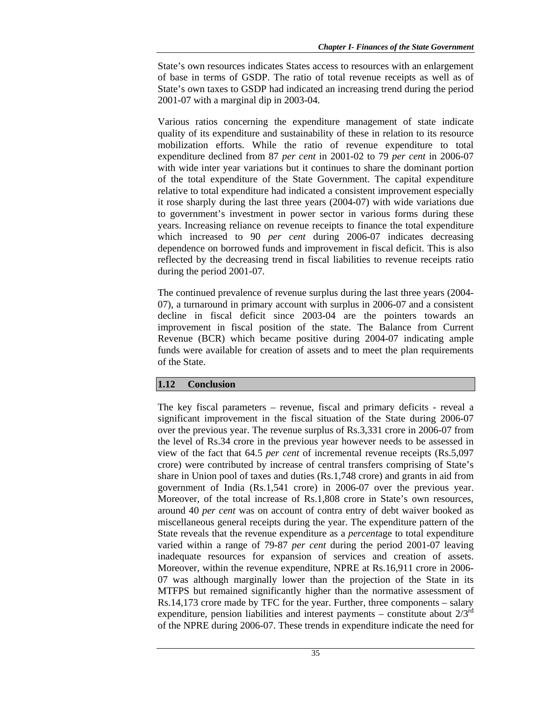State's own resources indicates States access to resources with an enlargement of base in terms of GSDP. The ratio of total revenue receipts as well as of State's own taxes to GSDP had indicated an increasing trend during the period 2001-07 with a marginal dip in 2003-04.

Various ratios concerning the expenditure management of state indicate quality of its expenditure and sustainability of these in relation to its resource mobilization efforts. While the ratio of revenue expenditure to total expenditure declined from 87 *per cent* in 2001-02 to 79 *per cent* in 2006-07 with wide inter year variations but it continues to share the dominant portion of the total expenditure of the State Government. The capital expenditure relative to total expenditure had indicated a consistent improvement especially it rose sharply during the last three years (2004-07) with wide variations due to government's investment in power sector in various forms during these years. Increasing reliance on revenue receipts to finance the total expenditure which increased to 90 *per cent* during 2006-07 indicates decreasing dependence on borrowed funds and improvement in fiscal deficit. This is also reflected by the decreasing trend in fiscal liabilities to revenue receipts ratio during the period 2001-07.

The continued prevalence of revenue surplus during the last three years (2004- 07), a turnaround in primary account with surplus in 2006-07 and a consistent decline in fiscal deficit since 2003-04 are the pointers towards an improvement in fiscal position of the state. The Balance from Current Revenue (BCR) which became positive during 2004-07 indicating ample funds were available for creation of assets and to meet the plan requirements of the State.

# **1.12 Conclusion**

The key fiscal parameters – revenue, fiscal and primary deficits - reveal a significant improvement in the fiscal situation of the State during 2006-07 over the previous year. The revenue surplus of Rs.3,331 crore in 2006-07 from the level of Rs.34 crore in the previous year however needs to be assessed in view of the fact that 64.5 *per cent* of incremental revenue receipts (Rs.5,097 crore) were contributed by increase of central transfers comprising of State's share in Union pool of taxes and duties (Rs.1,748 crore) and grants in aid from government of India (Rs.1,541 crore) in 2006-07 over the previous year. Moreover, of the total increase of Rs.1,808 crore in State's own resources, around 40 *per cent* was on account of contra entry of debt waiver booked as miscellaneous general receipts during the year. The expenditure pattern of the State reveals that the revenue expenditure as a *percent*age to total expenditure varied within a range of 79-87 *per cent* during the period 2001-07 leaving inadequate resources for expansion of services and creation of assets. Moreover, within the revenue expenditure, NPRE at Rs.16,911 crore in 2006- 07 was although marginally lower than the projection of the State in its MTFPS but remained significantly higher than the normative assessment of Rs.14,173 crore made by TFC for the year. Further, three components – salary expenditure, pension liabilities and interest payments – constitute about  $2/3<sup>rd</sup>$ of the NPRE during 2006-07. These trends in expenditure indicate the need for